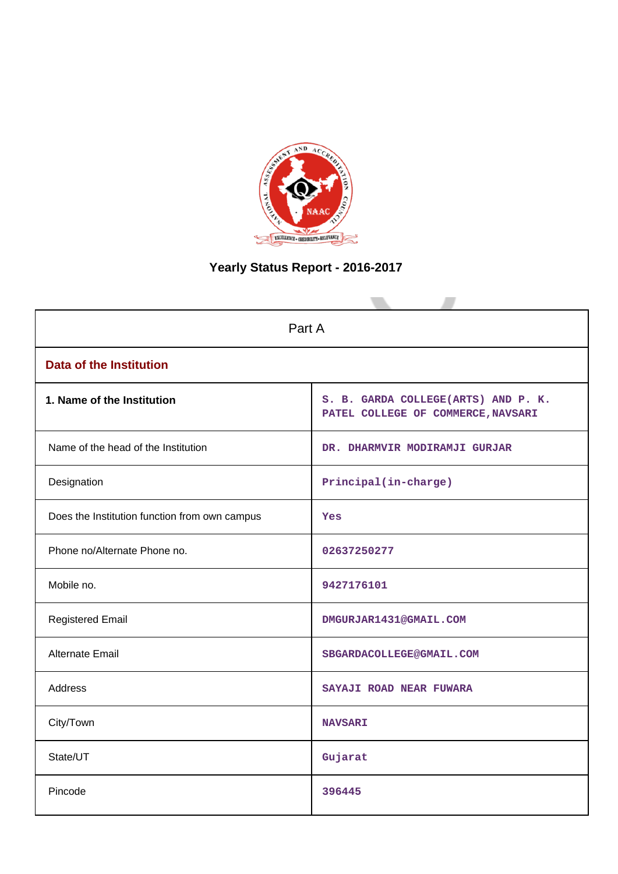

# **Yearly Status Report - 2016-2017**

| Part A                                        |                                                                           |  |  |  |
|-----------------------------------------------|---------------------------------------------------------------------------|--|--|--|
| <b>Data of the Institution</b>                |                                                                           |  |  |  |
| 1. Name of the Institution                    | S. B. GARDA COLLEGE(ARTS) AND P. K.<br>PATEL COLLEGE OF COMMERCE, NAVSARI |  |  |  |
| Name of the head of the Institution           | DR. DHARMVIR MODIRAMJI GURJAR                                             |  |  |  |
| Designation                                   | Principal(in-charge)                                                      |  |  |  |
| Does the Institution function from own campus | Yes                                                                       |  |  |  |
| Phone no/Alternate Phone no.                  | 02637250277                                                               |  |  |  |
| Mobile no.                                    | 9427176101                                                                |  |  |  |
| <b>Registered Email</b>                       | DMGURJAR1431@GMAIL.COM                                                    |  |  |  |
| Alternate Email                               | SBGARDACOLLEGE@GMAIL.COM                                                  |  |  |  |
| <b>Address</b>                                | SAYAJI ROAD NEAR FUWARA                                                   |  |  |  |
| City/Town                                     | <b>NAVSARI</b>                                                            |  |  |  |
| State/UT                                      | Gujarat                                                                   |  |  |  |
| Pincode                                       | 396445                                                                    |  |  |  |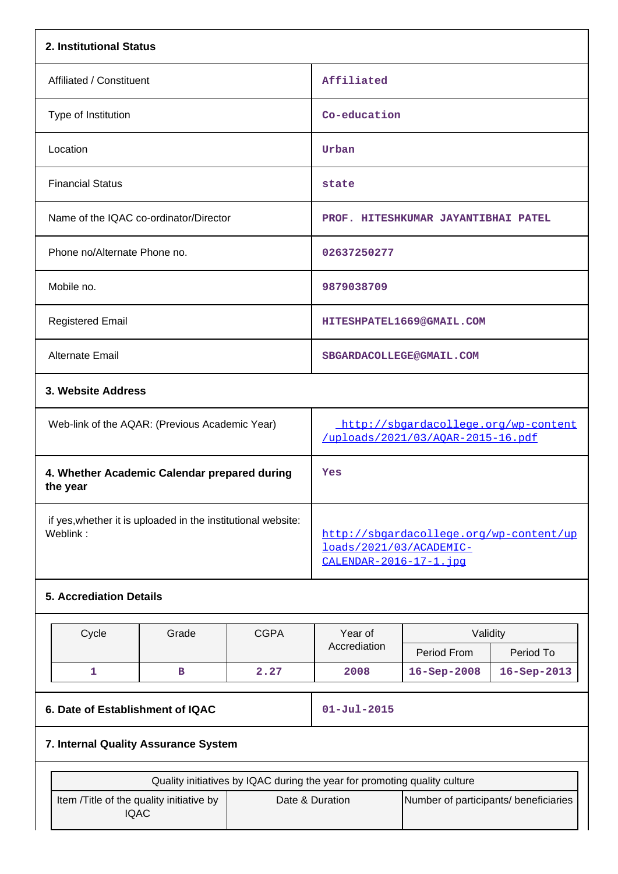| 2. Institutional Status                                                  |                                                                           |             |                                                                                               |                                     |             |  |  |
|--------------------------------------------------------------------------|---------------------------------------------------------------------------|-------------|-----------------------------------------------------------------------------------------------|-------------------------------------|-------------|--|--|
| Affiliated / Constituent                                                 |                                                                           |             | Affiliated                                                                                    |                                     |             |  |  |
| Type of Institution                                                      |                                                                           |             | Co-education                                                                                  |                                     |             |  |  |
| Location                                                                 |                                                                           |             | Urban                                                                                         |                                     |             |  |  |
| <b>Financial Status</b>                                                  |                                                                           |             | state                                                                                         |                                     |             |  |  |
| Name of the IQAC co-ordinator/Director                                   |                                                                           |             |                                                                                               | PROF. HITESHKUMAR JAYANTIBHAI PATEL |             |  |  |
| Phone no/Alternate Phone no.                                             |                                                                           |             | 02637250277                                                                                   |                                     |             |  |  |
| Mobile no.                                                               |                                                                           |             | 9879038709                                                                                    |                                     |             |  |  |
| <b>Registered Email</b>                                                  |                                                                           |             |                                                                                               | HITESHPATEL1669@GMAIL.COM           |             |  |  |
| Alternate Email                                                          |                                                                           |             |                                                                                               | SBGARDACOLLEGE@GMAIL.COM            |             |  |  |
| 3. Website Address                                                       |                                                                           |             |                                                                                               |                                     |             |  |  |
| Web-link of the AQAR: (Previous Academic Year)                           |                                                                           |             | http://sbgardacollege.org/wp-content<br>/uploads/2021/03/AOAR-2015-16.pdf                     |                                     |             |  |  |
| 4. Whether Academic Calendar prepared during<br>the year                 |                                                                           |             | Yes                                                                                           |                                     |             |  |  |
| if yes, whether it is uploaded in the institutional website:<br>Weblink: |                                                                           |             | http://sbgardacollege.org/wp-content/up<br>loads/2021/03/ACADEMIC-<br>CALENDAR-2016-17-1. jpq |                                     |             |  |  |
| <b>5. Accrediation Details</b>                                           |                                                                           |             |                                                                                               |                                     |             |  |  |
| Cycle                                                                    | Grade                                                                     | <b>CGPA</b> | Year of                                                                                       | Validity                            |             |  |  |
|                                                                          |                                                                           |             | Accrediation                                                                                  | Period From                         | Period To   |  |  |
| $\mathbf{1}$                                                             | $\, {\bf B}$                                                              | 2.27        | 2008                                                                                          | 16-Sep-2008                         | 16-Sep-2013 |  |  |
|                                                                          | 6. Date of Establishment of IQAC                                          |             |                                                                                               | $01 - Jul - 2015$                   |             |  |  |
|                                                                          | 7. Internal Quality Assurance System                                      |             |                                                                                               |                                     |             |  |  |
|                                                                          | Quality initiatives by IQAC during the year for promoting quality culture |             |                                                                                               |                                     |             |  |  |

| Quality initiatives by IQAC during the year for promoting quality culture |                 |                                       |  |  |  |
|---------------------------------------------------------------------------|-----------------|---------------------------------------|--|--|--|
| Item /Title of the quality initiative by<br>IQAC                          | Date & Duration | Number of participants/ beneficiaries |  |  |  |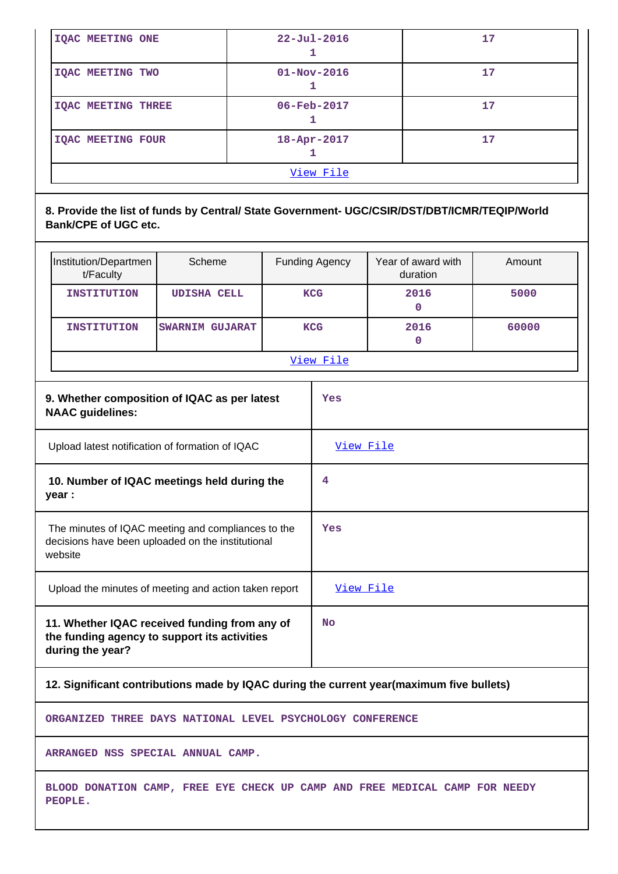| View File                 |                          |    |  |  |  |
|---------------------------|--------------------------|----|--|--|--|
| <b>IQAC MEETING FOUR</b>  | $18 - Apr - 2017$        | 17 |  |  |  |
| <b>IQAC MEETING THREE</b> | $06 - \text{Feb} - 2017$ | 17 |  |  |  |
| IQAC MEETING TWO          | $01 - Nov - 2016$        | 17 |  |  |  |
| <b>IQAC MEETING ONE</b>   | $22 - Ju1 - 2016$        | 17 |  |  |  |

## **8. Provide the list of funds by Central/ State Government- UGC/CSIR/DST/DBT/ICMR/TEQIP/World Bank/CPE of UGC etc.**

| Institution/Departmen<br>t/Faculty                                                                                 | Scheme                                          |  | <b>Funding Agency</b> | Year of award with<br>duration | Amount |  |
|--------------------------------------------------------------------------------------------------------------------|-------------------------------------------------|--|-----------------------|--------------------------------|--------|--|
| <b>INSTITUTION</b>                                                                                                 | <b>UDISHA CELL</b>                              |  | <b>KCG</b>            | 2016<br>$\mathbf 0$            | 5000   |  |
| <b>INSTITUTION</b>                                                                                                 | <b>SWARNIM GUJARAT</b>                          |  | <b>KCG</b>            | 2016<br>0                      | 60000  |  |
|                                                                                                                    |                                                 |  | View File             |                                |        |  |
| <b>NAAC</b> guidelines:                                                                                            | 9. Whether composition of IQAC as per latest    |  | Yes                   |                                |        |  |
|                                                                                                                    | Upload latest notification of formation of IQAC |  | View File             |                                |        |  |
| 10. Number of IQAC meetings held during the<br>year :                                                              |                                                 |  | 4                     |                                |        |  |
| The minutes of IQAC meeting and compliances to the<br>decisions have been uploaded on the institutional<br>website |                                                 |  | Yes                   |                                |        |  |
| Upload the minutes of meeting and action taken report                                                              |                                                 |  | View File             |                                |        |  |
| 11. Whether IQAC received funding from any of<br>the funding agency to support its activities<br>during the year?  |                                                 |  | No                    |                                |        |  |

## **12. Significant contributions made by IQAC during the current year(maximum five bullets)**

**ORGANIZED THREE DAYS NATIONAL LEVEL PSYCHOLOGY CONFERENCE**

**ARRANGED NSS SPECIAL ANNUAL CAMP.**

**BLOOD DONATION CAMP, FREE EYE CHECK UP CAMP AND FREE MEDICAL CAMP FOR NEEDY PEOPLE.**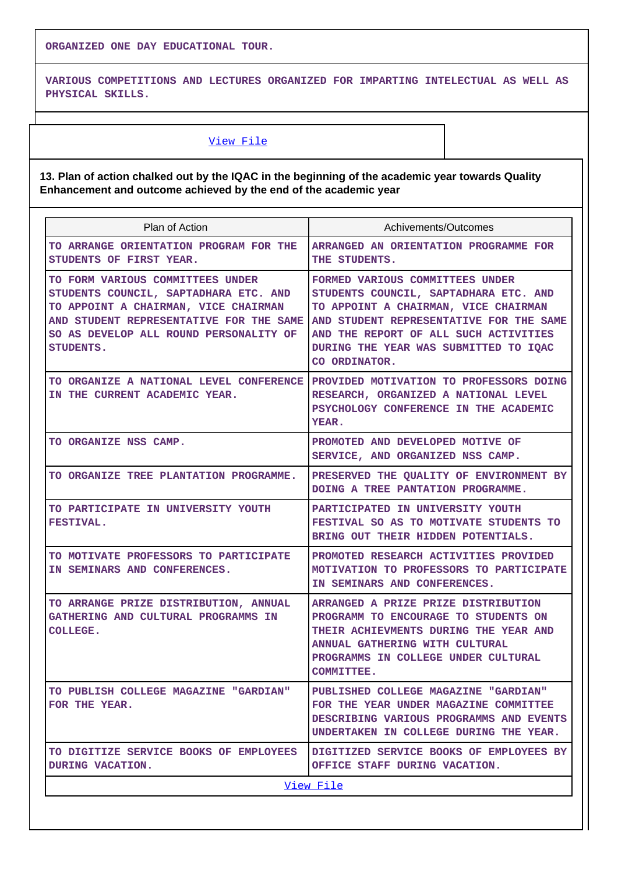**ORGANIZED ONE DAY EDUCATIONAL TOUR.**

**VARIOUS COMPETITIONS AND LECTURES ORGANIZED FOR IMPARTING INTELECTUAL AS WELL AS PHYSICAL SKILLS.**

## [View File](https://assessmentonline.naac.gov.in/public/Postacc/Contribution/10126_Contribution.xlsx)

## **13. Plan of action chalked out by the IQAC in the beginning of the academic year towards Quality Enhancement and outcome achieved by the end of the academic year**

| Plan of Action                                                                                                                                                                                                      | Achivements/Outcomes                                                                                                                                                                                                                                           |  |  |  |  |  |
|---------------------------------------------------------------------------------------------------------------------------------------------------------------------------------------------------------------------|----------------------------------------------------------------------------------------------------------------------------------------------------------------------------------------------------------------------------------------------------------------|--|--|--|--|--|
| TO ARRANGE ORIENTATION PROGRAM FOR THE<br>STUDENTS OF FIRST YEAR.                                                                                                                                                   | ARRANGED AN ORIENTATION PROGRAMME FOR<br>THE STUDENTS.                                                                                                                                                                                                         |  |  |  |  |  |
| TO FORM VARIOUS COMMITTEES UNDER<br>STUDENTS COUNCIL, SAPTADHARA ETC. AND<br>TO APPOINT A CHAIRMAN, VICE CHAIRMAN<br>AND STUDENT REPRESENTATIVE FOR THE SAME<br>SO AS DEVELOP ALL ROUND PERSONALITY OF<br>STUDENTS. | FORMED VARIOUS COMMITTEES UNDER<br>STUDENTS COUNCIL, SAPTADHARA ETC. AND<br>TO APPOINT A CHAIRMAN, VICE CHAIRMAN<br>AND STUDENT REPRESENTATIVE FOR THE SAME<br>AND THE REPORT OF ALL SUCH ACTIVITIES<br>DURING THE YEAR WAS SUBMITTED TO IQAC<br>CO ORDINATOR. |  |  |  |  |  |
| IN THE CURRENT ACADEMIC YEAR.                                                                                                                                                                                       | TO ORGANIZE A NATIONAL LEVEL CONFERENCE PROVIDED MOTIVATION TO PROFESSORS DOING<br>RESEARCH, ORGANIZED A NATIONAL LEVEL<br>PSYCHOLOGY CONFERENCE IN THE ACADEMIC<br>YEAR.                                                                                      |  |  |  |  |  |
| TO ORGANIZE NSS CAMP.                                                                                                                                                                                               | PROMOTED AND DEVELOPED MOTIVE OF<br>SERVICE, AND ORGANIZED NSS CAMP.                                                                                                                                                                                           |  |  |  |  |  |
| TO ORGANIZE TREE PLANTATION PROGRAMME.                                                                                                                                                                              | PRESERVED THE QUALITY OF ENVIRONMENT BY<br>DOING A TREE PANTATION PROGRAMME.                                                                                                                                                                                   |  |  |  |  |  |
| TO PARTICIPATE IN UNIVERSITY YOUTH<br><b>FESTIVAL.</b>                                                                                                                                                              | PARTICIPATED IN UNIVERSITY YOUTH<br>FESTIVAL SO AS TO MOTIVATE STUDENTS TO<br>BRING OUT THEIR HIDDEN POTENTIALS.                                                                                                                                               |  |  |  |  |  |
| TO MOTIVATE PROFESSORS TO PARTICIPATE<br>IN SEMINARS AND CONFERENCES.                                                                                                                                               | PROMOTED RESEARCH ACTIVITIES PROVIDED<br><b>MOTIVATION TO PROFESSORS TO PARTICIPATE</b><br>IN SEMINARS AND CONFERENCES.                                                                                                                                        |  |  |  |  |  |
| TO ARRANGE PRIZE DISTRIBUTION, ANNUAL<br>GATHERING AND CULTURAL PROGRAMMS IN<br><b>COLLEGE.</b>                                                                                                                     | ARRANGED A PRIZE PRIZE DISTRIBUTION<br>PROGRAMM TO ENCOURAGE TO STUDENTS ON<br>THEIR ACHIEVMENTS DURING THE YEAR AND<br><b>ANNUAL GATHERING WITH CULTURAL</b><br>PROGRAMMS IN COLLEGE UNDER CULTURAL<br><b>COMMITTEE.</b>                                      |  |  |  |  |  |
| TO PUBLISH COLLEGE MAGAZINE "GARDIAN"<br>FOR THE YEAR.                                                                                                                                                              | PUBLISHED COLLEGE MAGAZINE "GARDIAN"<br>FOR THE YEAR UNDER MAGAZINE COMMITTEE<br>DESCRIBING VARIOUS PROGRAMMS AND EVENTS<br>UNDERTAKEN IN COLLEGE DURING THE YEAR.                                                                                             |  |  |  |  |  |
| TO DIGITIZE SERVICE BOOKS OF EMPLOYEES<br>DURING VACATION.                                                                                                                                                          | DIGITIZED SERVICE BOOKS OF EMPLOYEES BY<br>OFFICE STAFF DURING VACATION.                                                                                                                                                                                       |  |  |  |  |  |
|                                                                                                                                                                                                                     | View File                                                                                                                                                                                                                                                      |  |  |  |  |  |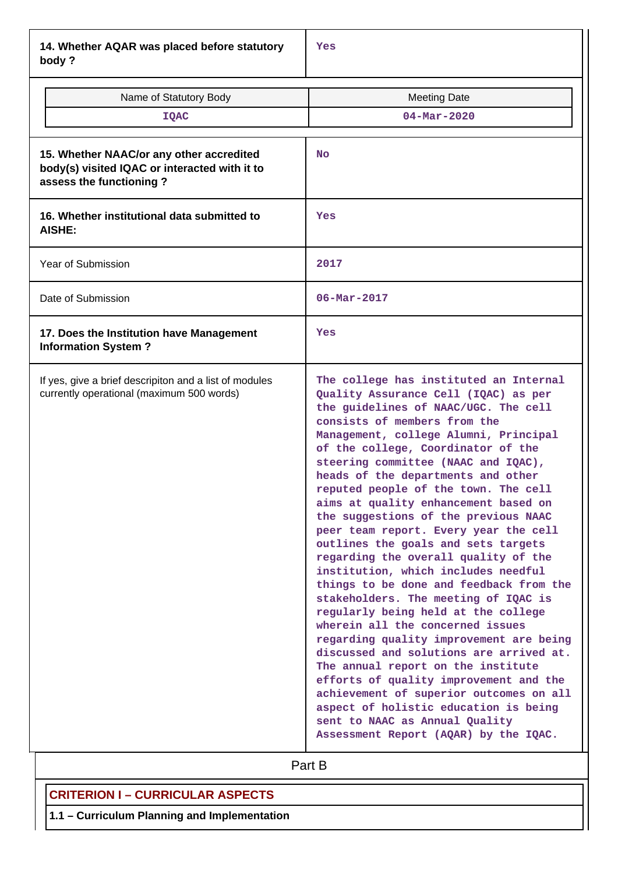**14. Whether AQAR was placed before statutory body ?**

| Name of Statutory Body<br><b>IQAC</b>                                                                                | <b>Meeting Date</b><br>$04 - Mar - 2020$                                                                                                                                                                                                                                                                                                                                                                                                                                                                                                                                                                                                                                                                                                                                                                                                                                                                                                                                                                                                                                                                     |  |  |  |  |
|----------------------------------------------------------------------------------------------------------------------|--------------------------------------------------------------------------------------------------------------------------------------------------------------------------------------------------------------------------------------------------------------------------------------------------------------------------------------------------------------------------------------------------------------------------------------------------------------------------------------------------------------------------------------------------------------------------------------------------------------------------------------------------------------------------------------------------------------------------------------------------------------------------------------------------------------------------------------------------------------------------------------------------------------------------------------------------------------------------------------------------------------------------------------------------------------------------------------------------------------|--|--|--|--|
| 15. Whether NAAC/or any other accredited<br>body(s) visited IQAC or interacted with it to<br>assess the functioning? | <b>No</b>                                                                                                                                                                                                                                                                                                                                                                                                                                                                                                                                                                                                                                                                                                                                                                                                                                                                                                                                                                                                                                                                                                    |  |  |  |  |
| 16. Whether institutional data submitted to<br>AISHE:                                                                | Yes                                                                                                                                                                                                                                                                                                                                                                                                                                                                                                                                                                                                                                                                                                                                                                                                                                                                                                                                                                                                                                                                                                          |  |  |  |  |
| <b>Year of Submission</b>                                                                                            | 2017                                                                                                                                                                                                                                                                                                                                                                                                                                                                                                                                                                                                                                                                                                                                                                                                                                                                                                                                                                                                                                                                                                         |  |  |  |  |
| Date of Submission                                                                                                   | $06 - \text{Mar} - 2017$                                                                                                                                                                                                                                                                                                                                                                                                                                                                                                                                                                                                                                                                                                                                                                                                                                                                                                                                                                                                                                                                                     |  |  |  |  |
| 17. Does the Institution have Management<br><b>Information System?</b>                                               | Yes                                                                                                                                                                                                                                                                                                                                                                                                                                                                                                                                                                                                                                                                                                                                                                                                                                                                                                                                                                                                                                                                                                          |  |  |  |  |
| If yes, give a brief descripiton and a list of modules<br>currently operational (maximum 500 words)                  | The college has instituted an Internal<br>Quality Assurance Cell (IQAC) as per<br>the guidelines of NAAC/UGC. The cell<br>consists of members from the<br>Management, college Alumni, Principal<br>of the college, Coordinator of the<br>steering committee (NAAC and IQAC),<br>heads of the departments and other<br>reputed people of the town. The cell<br>aims at quality enhancement based on<br>the suggestions of the previous NAAC<br>peer team report. Every year the cell<br>outlines the goals and sets targets<br>regarding the overall quality of the<br>institution, which includes needful<br>things to be done and feedback from the<br>stakeholders. The meeting of IQAC is<br>regularly being held at the college<br>wherein all the concerned issues<br>regarding quality improvement are being<br>discussed and solutions are arrived at.<br>The annual report on the institute<br>efforts of quality improvement and the<br>achievement of superior outcomes on all<br>aspect of holistic education is being<br>sent to NAAC as Annual Quality<br>Assessment Report (AQAR) by the IQAC. |  |  |  |  |

# **Part B**

# **CRITERION I – CURRICULAR ASPECTS**

**1.1 – Curriculum Planning and Implementation**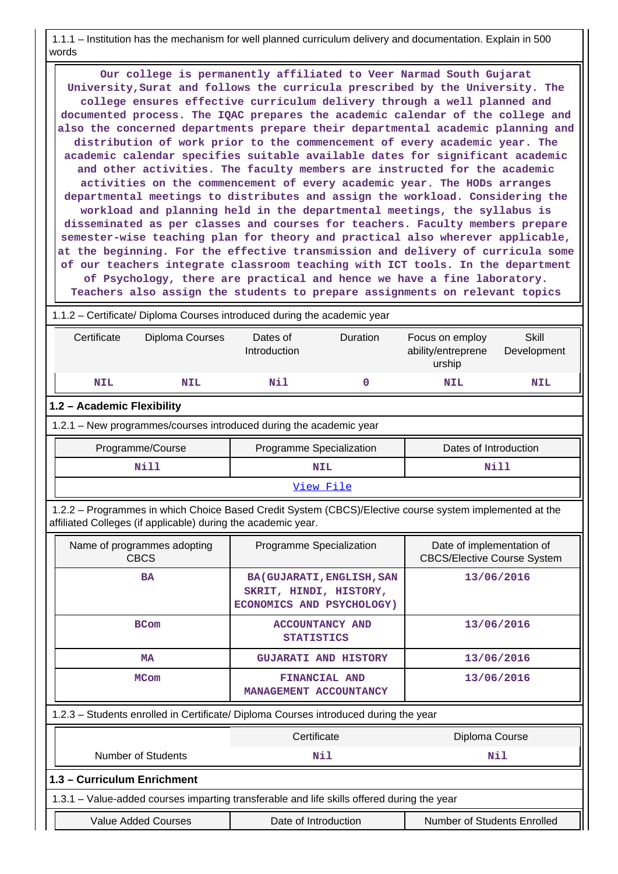1.1.1 – Institution has the mechanism for well planned curriculum delivery and documentation. Explain in 500 words

 **Our college is permanently affiliated to Veer Narmad South Gujarat University,Surat and follows the curricula prescribed by the University. The college ensures effective curriculum delivery through a well planned and documented process. The IQAC prepares the academic calendar of the college and also the concerned departments prepare their departmental academic planning and distribution of work prior to the commencement of every academic year. The academic calendar specifies suitable available dates for significant academic and other activities. The faculty members are instructed for the academic activities on the commencement of every academic year. The HODs arranges departmental meetings to distributes and assign the workload. Considering the workload and planning held in the departmental meetings, the syllabus is disseminated as per classes and courses for teachers. Faculty members prepare semester-wise teaching plan for theory and practical also wherever applicable, at the beginning. For the effective transmission and delivery of curricula some of our teachers integrate classroom teaching with ICT tools. In the department of Psychology, there are practical and hence we have a fine laboratory. Teachers also assign the students to prepare assignments on relevant topics**

1.1.2 – Certificate/ Diploma Courses introduced during the academic year

| Certificate                                                                                                                                                              | Diploma Courses                                                                      | Dates of<br>Introduction                    | Duration                                                                                 | Focus on employ<br>ability/entreprene<br>urship                 | <b>Skill</b><br>Development |  |  |  |
|--------------------------------------------------------------------------------------------------------------------------------------------------------------------------|--------------------------------------------------------------------------------------|---------------------------------------------|------------------------------------------------------------------------------------------|-----------------------------------------------------------------|-----------------------------|--|--|--|
| <b>NIL</b>                                                                                                                                                               | <b>NIL</b>                                                                           | Nil                                         | $\mathbf 0$                                                                              | <b>NIL</b>                                                      | <b>NIL</b>                  |  |  |  |
| 1.2 - Academic Flexibility                                                                                                                                               |                                                                                      |                                             |                                                                                          |                                                                 |                             |  |  |  |
| 1.2.1 - New programmes/courses introduced during the academic year                                                                                                       |                                                                                      |                                             |                                                                                          |                                                                 |                             |  |  |  |
| Dates of Introduction<br>Programme/Course<br>Programme Specialization                                                                                                    |                                                                                      |                                             |                                                                                          |                                                                 |                             |  |  |  |
|                                                                                                                                                                          | <b>Nill</b>                                                                          |                                             | <b>NIL</b>                                                                               |                                                                 | <b>Nill</b>                 |  |  |  |
|                                                                                                                                                                          |                                                                                      |                                             | View File                                                                                |                                                                 |                             |  |  |  |
| 1.2.2 - Programmes in which Choice Based Credit System (CBCS)/Elective course system implemented at the<br>affiliated Colleges (if applicable) during the academic year. |                                                                                      |                                             |                                                                                          |                                                                 |                             |  |  |  |
|                                                                                                                                                                          | Name of programmes adopting<br><b>CBCS</b>                                           | Programme Specialization                    |                                                                                          | Date of implementation of<br><b>CBCS/Elective Course System</b> |                             |  |  |  |
|                                                                                                                                                                          | <b>BA</b>                                                                            |                                             | <b>BA (GUJARATI, ENGLISH, SAN</b><br>SKRIT, HINDI, HISTORY,<br>ECONOMICS AND PSYCHOLOGY) |                                                                 | 13/06/2016                  |  |  |  |
|                                                                                                                                                                          | <b>BCom</b>                                                                          | <b>ACCOUNTANCY AND</b><br><b>STATISTICS</b> |                                                                                          | 13/06/2016                                                      |                             |  |  |  |
|                                                                                                                                                                          | <b>MA</b>                                                                            |                                             | <b>GUJARATI AND HISTORY</b>                                                              | 13/06/2016                                                      |                             |  |  |  |
|                                                                                                                                                                          | <b>MCom</b>                                                                          | FINANCIAL AND<br>MANAGEMENT ACCOUNTANCY     |                                                                                          | 13/06/2016                                                      |                             |  |  |  |
|                                                                                                                                                                          | 1.2.3 - Students enrolled in Certificate/ Diploma Courses introduced during the year |                                             |                                                                                          |                                                                 |                             |  |  |  |
|                                                                                                                                                                          |                                                                                      | Certificate                                 |                                                                                          | Diploma Course                                                  |                             |  |  |  |
|                                                                                                                                                                          | <b>Number of Students</b>                                                            |                                             | Nil                                                                                      |                                                                 | Nil                         |  |  |  |

**1.3 – Curriculum Enrichment**

1.3.1 – Value-added courses imparting transferable and life skills offered during the year

Value Added Courses **Date of Introduction** Number of Students Enrolled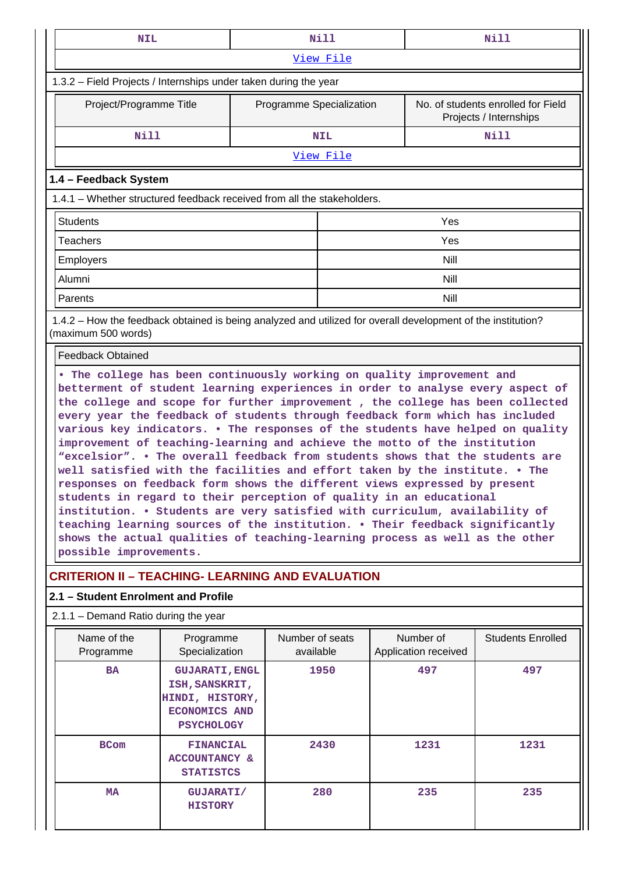| <b>NIL</b>                                                                                                                          |                                                                                                                                                                                                                                                                                                                                                                                                                                                                                                                                                                                                                                                                                                                                                                                                                                                                                                                                                                                   |                              | <b>Nill</b> |  |                                   | Nill                                                         |  |
|-------------------------------------------------------------------------------------------------------------------------------------|-----------------------------------------------------------------------------------------------------------------------------------------------------------------------------------------------------------------------------------------------------------------------------------------------------------------------------------------------------------------------------------------------------------------------------------------------------------------------------------------------------------------------------------------------------------------------------------------------------------------------------------------------------------------------------------------------------------------------------------------------------------------------------------------------------------------------------------------------------------------------------------------------------------------------------------------------------------------------------------|------------------------------|-------------|--|-----------------------------------|--------------------------------------------------------------|--|
|                                                                                                                                     | View File                                                                                                                                                                                                                                                                                                                                                                                                                                                                                                                                                                                                                                                                                                                                                                                                                                                                                                                                                                         |                              |             |  |                                   |                                                              |  |
| 1.3.2 - Field Projects / Internships under taken during the year                                                                    |                                                                                                                                                                                                                                                                                                                                                                                                                                                                                                                                                                                                                                                                                                                                                                                                                                                                                                                                                                                   |                              |             |  |                                   |                                                              |  |
| Project/Programme Title                                                                                                             |                                                                                                                                                                                                                                                                                                                                                                                                                                                                                                                                                                                                                                                                                                                                                                                                                                                                                                                                                                                   | Programme Specialization     |             |  |                                   | No. of students enrolled for Field<br>Projects / Internships |  |
| <b>Nill</b>                                                                                                                         |                                                                                                                                                                                                                                                                                                                                                                                                                                                                                                                                                                                                                                                                                                                                                                                                                                                                                                                                                                                   |                              | <b>NIL</b>  |  |                                   | <b>Nill</b>                                                  |  |
|                                                                                                                                     |                                                                                                                                                                                                                                                                                                                                                                                                                                                                                                                                                                                                                                                                                                                                                                                                                                                                                                                                                                                   |                              | View File   |  |                                   |                                                              |  |
| 1.4 - Feedback System                                                                                                               |                                                                                                                                                                                                                                                                                                                                                                                                                                                                                                                                                                                                                                                                                                                                                                                                                                                                                                                                                                                   |                              |             |  |                                   |                                                              |  |
| 1.4.1 - Whether structured feedback received from all the stakeholders.                                                             |                                                                                                                                                                                                                                                                                                                                                                                                                                                                                                                                                                                                                                                                                                                                                                                                                                                                                                                                                                                   |                              |             |  |                                   |                                                              |  |
| <b>Students</b>                                                                                                                     |                                                                                                                                                                                                                                                                                                                                                                                                                                                                                                                                                                                                                                                                                                                                                                                                                                                                                                                                                                                   |                              |             |  | Yes                               |                                                              |  |
| Teachers                                                                                                                            |                                                                                                                                                                                                                                                                                                                                                                                                                                                                                                                                                                                                                                                                                                                                                                                                                                                                                                                                                                                   |                              |             |  | Yes                               |                                                              |  |
| <b>Employers</b>                                                                                                                    |                                                                                                                                                                                                                                                                                                                                                                                                                                                                                                                                                                                                                                                                                                                                                                                                                                                                                                                                                                                   |                              |             |  | <b>Nill</b>                       |                                                              |  |
| Alumni                                                                                                                              |                                                                                                                                                                                                                                                                                                                                                                                                                                                                                                                                                                                                                                                                                                                                                                                                                                                                                                                                                                                   |                              |             |  | Nill                              |                                                              |  |
| Parents                                                                                                                             |                                                                                                                                                                                                                                                                                                                                                                                                                                                                                                                                                                                                                                                                                                                                                                                                                                                                                                                                                                                   |                              |             |  | <b>Nill</b>                       |                                                              |  |
| 1.4.2 – How the feedback obtained is being analyzed and utilized for overall development of the institution?<br>(maximum 500 words) |                                                                                                                                                                                                                                                                                                                                                                                                                                                                                                                                                                                                                                                                                                                                                                                                                                                                                                                                                                                   |                              |             |  |                                   |                                                              |  |
| <b>Feedback Obtained</b>                                                                                                            |                                                                                                                                                                                                                                                                                                                                                                                                                                                                                                                                                                                                                                                                                                                                                                                                                                                                                                                                                                                   |                              |             |  |                                   |                                                              |  |
| possible improvements.                                                                                                              | betterment of student learning experiences in order to analyse every aspect of<br>the college and scope for further improvement, the college has been collected<br>every year the feedback of students through feedback form which has included<br>various key indicators. . The responses of the students have helped on quality<br>improvement of teaching-learning and achieve the motto of the institution<br>"excelsior". . The overall feedback from students shows that the students are<br>well satisfied with the facilities and effort taken by the institute. . The<br>responses on feedback form shows the different views expressed by present<br>students in regard to their perception of quality in an educational<br>institution. . Students are very satisfied with curriculum, availability of<br>teaching learning sources of the institution. . Their feedback significantly<br>shows the actual qualities of teaching-learning process as well as the other |                              |             |  |                                   |                                                              |  |
| <b>CRITERION II - TEACHING- LEARNING AND EVALUATION</b>                                                                             |                                                                                                                                                                                                                                                                                                                                                                                                                                                                                                                                                                                                                                                                                                                                                                                                                                                                                                                                                                                   |                              |             |  |                                   |                                                              |  |
| 2.1 - Student Enrolment and Profile                                                                                                 |                                                                                                                                                                                                                                                                                                                                                                                                                                                                                                                                                                                                                                                                                                                                                                                                                                                                                                                                                                                   |                              |             |  |                                   |                                                              |  |
| 2.1.1 - Demand Ratio during the year                                                                                                |                                                                                                                                                                                                                                                                                                                                                                                                                                                                                                                                                                                                                                                                                                                                                                                                                                                                                                                                                                                   |                              |             |  |                                   |                                                              |  |
| Name of the<br>Programme                                                                                                            | Programme<br>Specialization                                                                                                                                                                                                                                                                                                                                                                                                                                                                                                                                                                                                                                                                                                                                                                                                                                                                                                                                                       | Number of seats<br>available |             |  | Number of<br>Application received | <b>Students Enrolled</b>                                     |  |
| <b>BA</b>                                                                                                                           | <b>GUJARATI, ENGL</b><br>ISH, SANSKRIT,<br>HINDI, HISTORY,<br><b>ECONOMICS AND</b><br><b>PSYCHOLOGY</b>                                                                                                                                                                                                                                                                                                                                                                                                                                                                                                                                                                                                                                                                                                                                                                                                                                                                           |                              | 1950        |  | 497                               | 497                                                          |  |
| <b>BCom</b>                                                                                                                         | <b>FINANCIAL</b><br><b>ACCOUNTANCY &amp;</b><br><b>STATISTCS</b>                                                                                                                                                                                                                                                                                                                                                                                                                                                                                                                                                                                                                                                                                                                                                                                                                                                                                                                  |                              | 2430        |  | 1231                              | 1231                                                         |  |
| МA                                                                                                                                  | <b>GUJARATI/</b><br><b>HISTORY</b>                                                                                                                                                                                                                                                                                                                                                                                                                                                                                                                                                                                                                                                                                                                                                                                                                                                                                                                                                |                              | 280         |  | 235                               | 235                                                          |  |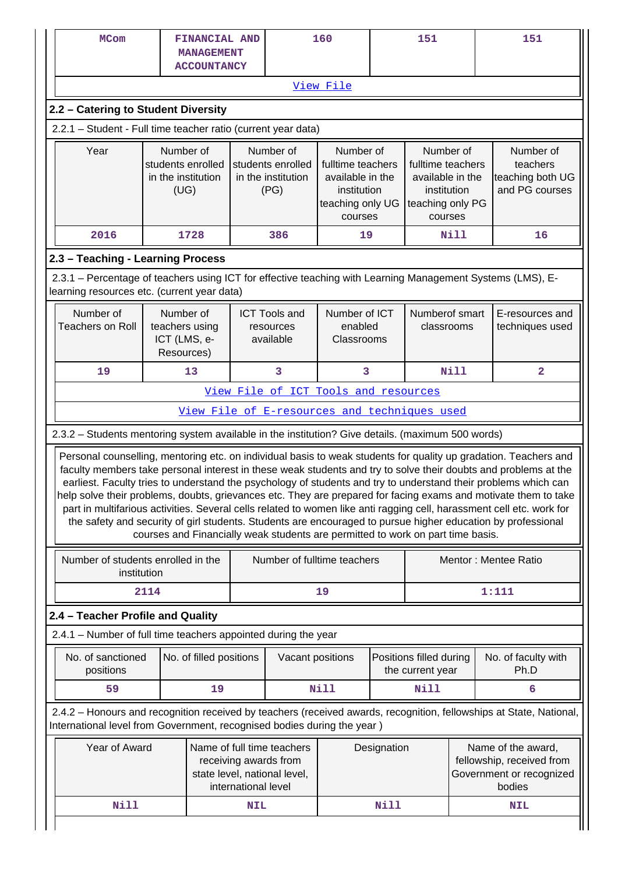| <b>MCom</b>                                                                                                                                               |                                                               | FINANCIAL AND<br><b>MANAGEMENT</b><br><b>ACCOUNTANCY</b> |            | 160                                                                                                        |                                                                                                  | 151         |                                                                                                  |      | 151                                                                                                                                                                                                                                                                                                                                                                                                                                                                                                                                                                                                                                                                                                                |
|-----------------------------------------------------------------------------------------------------------------------------------------------------------|---------------------------------------------------------------|----------------------------------------------------------|------------|------------------------------------------------------------------------------------------------------------|--------------------------------------------------------------------------------------------------|-------------|--------------------------------------------------------------------------------------------------|------|--------------------------------------------------------------------------------------------------------------------------------------------------------------------------------------------------------------------------------------------------------------------------------------------------------------------------------------------------------------------------------------------------------------------------------------------------------------------------------------------------------------------------------------------------------------------------------------------------------------------------------------------------------------------------------------------------------------------|
|                                                                                                                                                           |                                                               |                                                          |            |                                                                                                            | View File                                                                                        |             |                                                                                                  |      |                                                                                                                                                                                                                                                                                                                                                                                                                                                                                                                                                                                                                                                                                                                    |
| 2.2 - Catering to Student Diversity                                                                                                                       |                                                               |                                                          |            |                                                                                                            |                                                                                                  |             |                                                                                                  |      |                                                                                                                                                                                                                                                                                                                                                                                                                                                                                                                                                                                                                                                                                                                    |
|                                                                                                                                                           | 2.2.1 - Student - Full time teacher ratio (current year data) |                                                          |            |                                                                                                            |                                                                                                  |             |                                                                                                  |      |                                                                                                                                                                                                                                                                                                                                                                                                                                                                                                                                                                                                                                                                                                                    |
| Year                                                                                                                                                      | Number of<br>students enrolled<br>in the institution<br>(UG)  |                                                          |            | Number of<br>students enrolled<br>in the institution<br>(PG)                                               | Number of<br>fulltime teachers<br>available in the<br>institution<br>teaching only UG<br>courses |             | Number of<br>fulltime teachers<br>available in the<br>institution<br>teaching only PG<br>courses |      | Number of<br>teachers<br>teaching both UG<br>and PG courses                                                                                                                                                                                                                                                                                                                                                                                                                                                                                                                                                                                                                                                        |
| 2016                                                                                                                                                      |                                                               | 1728                                                     |            | 386                                                                                                        | 19                                                                                               |             |                                                                                                  | Nill | 16                                                                                                                                                                                                                                                                                                                                                                                                                                                                                                                                                                                                                                                                                                                 |
| 2.3 - Teaching - Learning Process                                                                                                                         |                                                               |                                                          |            |                                                                                                            |                                                                                                  |             |                                                                                                  |      |                                                                                                                                                                                                                                                                                                                                                                                                                                                                                                                                                                                                                                                                                                                    |
| 2.3.1 – Percentage of teachers using ICT for effective teaching with Learning Management Systems (LMS), E-<br>learning resources etc. (current year data) |                                                               |                                                          |            |                                                                                                            |                                                                                                  |             |                                                                                                  |      |                                                                                                                                                                                                                                                                                                                                                                                                                                                                                                                                                                                                                                                                                                                    |
| Number of<br><b>Teachers on Roll</b>                                                                                                                      | Number of<br>teachers using<br>ICT (LMS, e-<br>Resources)     |                                                          |            | <b>ICT Tools and</b><br>resources<br>available                                                             | Number of ICT<br>enabled<br>Classrooms                                                           |             | Numberof smart<br>classrooms                                                                     |      | E-resources and<br>techniques used                                                                                                                                                                                                                                                                                                                                                                                                                                                                                                                                                                                                                                                                                 |
| 19                                                                                                                                                        | 13                                                            |                                                          |            |                                                                                                            | 3                                                                                                |             |                                                                                                  | Nill | $\overline{\mathbf{2}}$                                                                                                                                                                                                                                                                                                                                                                                                                                                                                                                                                                                                                                                                                            |
|                                                                                                                                                           | View File of ICT Tools and resources                          |                                                          |            |                                                                                                            |                                                                                                  |             |                                                                                                  |      |                                                                                                                                                                                                                                                                                                                                                                                                                                                                                                                                                                                                                                                                                                                    |
|                                                                                                                                                           |                                                               |                                                          |            | View File of E-resources and techniques used                                                               |                                                                                                  |             |                                                                                                  |      |                                                                                                                                                                                                                                                                                                                                                                                                                                                                                                                                                                                                                                                                                                                    |
| 2.3.2 - Students mentoring system available in the institution? Give details. (maximum 500 words)                                                         |                                                               |                                                          |            |                                                                                                            |                                                                                                  |             |                                                                                                  |      |                                                                                                                                                                                                                                                                                                                                                                                                                                                                                                                                                                                                                                                                                                                    |
|                                                                                                                                                           |                                                               |                                                          |            | courses and Financially weak students are permitted to work on part time basis.                            |                                                                                                  |             |                                                                                                  |      | Personal counselling, mentoring etc. on individual basis to weak students for quality up gradation. Teachers and<br>faculty members take personal interest in these weak students and try to solve their doubts and problems at the<br>earliest. Faculty tries to understand the psychology of students and try to understand their problems which can<br>help solve their problems, doubts, grievances etc. They are prepared for facing exams and motivate them to take<br>part in multifarious activities. Several cells related to women like anti ragging cell, harassment cell etc. work for<br>the safety and security of girl students. Students are encouraged to pursue higher education by professional |
| Number of students enrolled in the<br>institution                                                                                                         |                                                               |                                                          |            | Number of fulltime teachers                                                                                |                                                                                                  |             |                                                                                                  |      | Mentor: Mentee Ratio                                                                                                                                                                                                                                                                                                                                                                                                                                                                                                                                                                                                                                                                                               |
|                                                                                                                                                           | 2114                                                          |                                                          |            |                                                                                                            | 19                                                                                               |             |                                                                                                  |      | 1:111                                                                                                                                                                                                                                                                                                                                                                                                                                                                                                                                                                                                                                                                                                              |
| 2.4 - Teacher Profile and Quality                                                                                                                         |                                                               |                                                          |            |                                                                                                            |                                                                                                  |             |                                                                                                  |      |                                                                                                                                                                                                                                                                                                                                                                                                                                                                                                                                                                                                                                                                                                                    |
| 2.4.1 – Number of full time teachers appointed during the year                                                                                            |                                                               |                                                          |            |                                                                                                            |                                                                                                  |             |                                                                                                  |      |                                                                                                                                                                                                                                                                                                                                                                                                                                                                                                                                                                                                                                                                                                                    |
| No. of sanctioned<br>positions                                                                                                                            |                                                               | No. of filled positions                                  |            | Vacant positions                                                                                           |                                                                                                  |             | Positions filled during<br>the current year                                                      |      | No. of faculty with<br>Ph.D                                                                                                                                                                                                                                                                                                                                                                                                                                                                                                                                                                                                                                                                                        |
| 59                                                                                                                                                        |                                                               | 19                                                       |            |                                                                                                            | <b>Nill</b>                                                                                      |             | <b>Nill</b>                                                                                      |      | 6                                                                                                                                                                                                                                                                                                                                                                                                                                                                                                                                                                                                                                                                                                                  |
| International level from Government, recognised bodies during the year)                                                                                   |                                                               |                                                          |            |                                                                                                            |                                                                                                  |             |                                                                                                  |      | 2.4.2 - Honours and recognition received by teachers (received awards, recognition, fellowships at State, National,                                                                                                                                                                                                                                                                                                                                                                                                                                                                                                                                                                                                |
| Year of Award                                                                                                                                             |                                                               |                                                          |            | Name of full time teachers<br>receiving awards from<br>state level, national level,<br>international level |                                                                                                  | Designation |                                                                                                  |      | Name of the award,<br>fellowship, received from<br>Government or recognized<br>bodies                                                                                                                                                                                                                                                                                                                                                                                                                                                                                                                                                                                                                              |
| <b>Nill</b>                                                                                                                                               |                                                               |                                                          | <b>NIL</b> |                                                                                                            |                                                                                                  | Nill        |                                                                                                  |      | NIL                                                                                                                                                                                                                                                                                                                                                                                                                                                                                                                                                                                                                                                                                                                |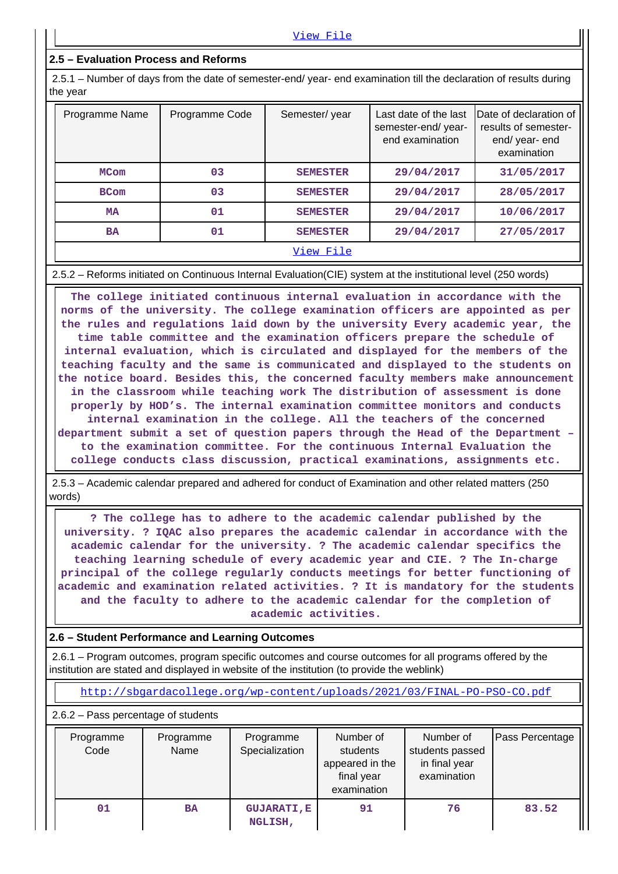## **2.5 – Evaluation Process and Reforms**

 2.5.1 – Number of days from the date of semester-end/ year- end examination till the declaration of results during the year

| Programme Name | Programme Code | Semester/year   | Last date of the last<br>semester-end/year-<br>end examination | Date of declaration of<br>results of semester-<br>end/year-end<br>examination |
|----------------|----------------|-----------------|----------------------------------------------------------------|-------------------------------------------------------------------------------|
| <b>MCom</b>    | 03             | <b>SEMESTER</b> | 29/04/2017                                                     | 31/05/2017                                                                    |
| <b>BCom</b>    | 03             | <b>SEMESTER</b> | 29/04/2017                                                     | 28/05/2017                                                                    |
| MA             | 01             | <b>SEMESTER</b> | 29/04/2017                                                     | 10/06/2017                                                                    |
| <b>BA</b>      | 01             | <b>SEMESTER</b> | 29/04/2017                                                     | 27/05/2017                                                                    |
|                |                |                 |                                                                |                                                                               |

#### 2.5.2 – Reforms initiated on Continuous Internal Evaluation(CIE) system at the institutional level (250 words)

 **The college initiated continuous internal evaluation in accordance with the norms of the university. The college examination officers are appointed as per the rules and regulations laid down by the university Every academic year, the time table committee and the examination officers prepare the schedule of internal evaluation, which is circulated and displayed for the members of the teaching faculty and the same is communicated and displayed to the students on the notice board. Besides this, the concerned faculty members make announcement in the classroom while teaching work The distribution of assessment is done properly by HOD's. The internal examination committee monitors and conducts internal examination in the college. All the teachers of the concerned department submit a set of question papers through the Head of the Department – to the examination committee. For the continuous Internal Evaluation the college conducts class discussion, practical examinations, assignments etc.**

 2.5.3 – Academic calendar prepared and adhered for conduct of Examination and other related matters (250 words)

 **? The college has to adhere to the academic calendar published by the university. ? IQAC also prepares the academic calendar in accordance with the academic calendar for the university. ? The academic calendar specifics the teaching learning schedule of every academic year and CIE. ? The In-charge principal of the college regularly conducts meetings for better functioning of academic and examination related activities. ? It is mandatory for the students and the faculty to adhere to the academic calendar for the completion of academic activities.**

## **2.6 – Student Performance and Learning Outcomes**

 2.6.1 – Program outcomes, program specific outcomes and course outcomes for all programs offered by the institution are stated and displayed in website of the institution (to provide the weblink)

<http://sbgardacollege.org/wp-content/uploads/2021/03/FINAL-PO-PSO-CO.pdf>

2.6.2 – Pass percentage of students

| Programme<br>Code | Programme<br>Name | Programme<br>Specialization   | Number of<br>students<br>appeared in the<br>final year<br>examination | Number of<br>students passed<br>in final year<br>examination | Pass Percentage |
|-------------------|-------------------|-------------------------------|-----------------------------------------------------------------------|--------------------------------------------------------------|-----------------|
| 01                | <b>BA</b>         | <b>GUJARATI, E</b><br>NGLISH, | 91                                                                    | 76                                                           | 83.52           |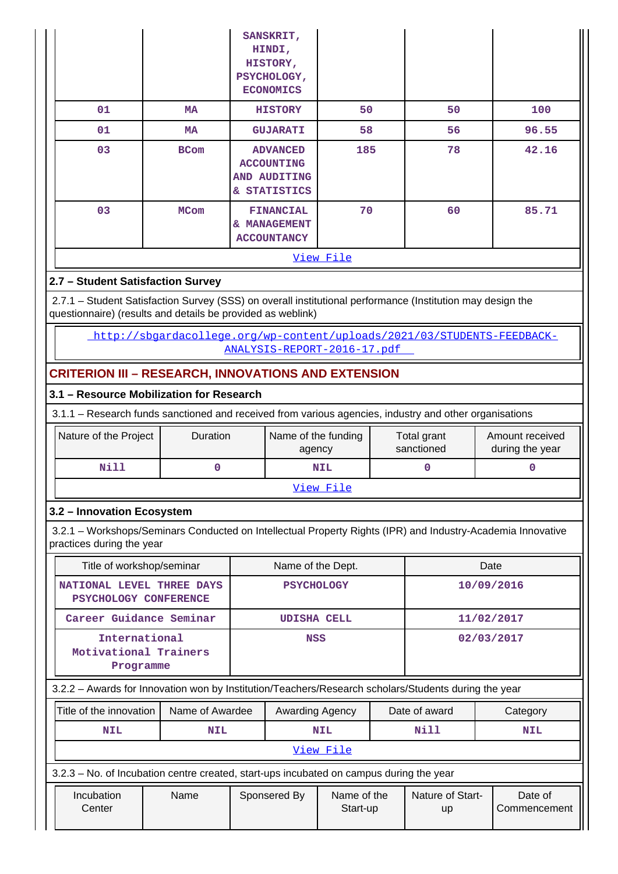|                                   |             | SANSKRIT,<br>HINDI,<br>HISTORY,<br>PSYCHOLOGY,<br><b>ECONOMICS</b>          |           |    |       |  |  |
|-----------------------------------|-------------|-----------------------------------------------------------------------------|-----------|----|-------|--|--|
| 01                                | MA          | <b>HISTORY</b>                                                              | 50        | 50 | 100   |  |  |
| 01                                | <b>MA</b>   | <b>GUJARATI</b>                                                             | 58        | 56 | 96.55 |  |  |
| 03                                | <b>BCom</b> | 185<br><b>ADVANCED</b><br><b>ACCOUNTING</b><br>AND AUDITING<br>& STATISTICS |           | 78 | 42.16 |  |  |
| 03                                | <b>MCom</b> | 70<br><b>FINANCIAL</b><br>& MANAGEMENT<br><b>ACCOUNTANCY</b>                |           | 60 | 85.71 |  |  |
|                                   |             |                                                                             | View File |    |       |  |  |
| 2.7 - Student Satisfaction Survey |             |                                                                             |           |    |       |  |  |

 2.7.1 – Student Satisfaction Survey (SSS) on overall institutional performance (Institution may design the questionnaire) (results and details be provided as weblink)

 [http://sbgardacollege.org/wp-content/uploads/2021/03/STUDENTS-FEEDBACK-](http://sbgardacollege.org/wp-content/uploads/2021/03/STUDENTS-FEEDBACK-ANALYSIS-REPORT-2016-17.pdf)[ANALYSIS-REPORT-2016-17.pdf](http://sbgardacollege.org/wp-content/uploads/2021/03/STUDENTS-FEEDBACK-ANALYSIS-REPORT-2016-17.pdf) 

## **CRITERION III – RESEARCH, INNOVATIONS AND EXTENSION**

## **3.1 – Resource Mobilization for Research**

3.1.1 – Research funds sanctioned and received from various agencies, industry and other organisations

| Nature of the Project | <b>Duration</b> | Name of the funding<br>agency | Total grant<br>sanctioned | Amount received<br>during the year |  |  |
|-----------------------|-----------------|-------------------------------|---------------------------|------------------------------------|--|--|
| Nill                  |                 | <b>NIL</b>                    |                           |                                    |  |  |
|                       |                 | View File                     |                           |                                    |  |  |

## **3.2 – Innovation Ecosystem**

 3.2.1 – Workshops/Seminars Conducted on Intellectual Property Rights (IPR) and Industry-Academia Innovative practices during the year

| Title of workshop/seminar                                                                            | Name of the Dept.  | Date       |  |  |  |  |
|------------------------------------------------------------------------------------------------------|--------------------|------------|--|--|--|--|
| NATIONAL LEVEL THREE DAYS<br>PSYCHOLOGY CONFERENCE                                                   | <b>PSYCHOLOGY</b>  | 10/09/2016 |  |  |  |  |
| Career Guidance Seminar                                                                              | <b>UDISHA CELL</b> | 11/02/2017 |  |  |  |  |
| International<br>Motivational Trainers<br>Programme                                                  | <b>NSS</b>         | 02/03/2017 |  |  |  |  |
| 3.2.2 - Awards for Innovation won by Institution/Teachers/Research scholars/Students during the year |                    |            |  |  |  |  |

|                                                              | Title of the innovation                                                                 | Name of Awardee |  | Awarding Agency |                                 |  | Date of award<br>Category |  |         |  |  |
|--------------------------------------------------------------|-----------------------------------------------------------------------------------------|-----------------|--|-----------------|---------------------------------|--|---------------------------|--|---------|--|--|
| Nill<br><b>NIL</b><br><b>NIL</b><br><b>NIL</b><br><b>NIL</b> |                                                                                         |                 |  |                 |                                 |  |                           |  |         |  |  |
|                                                              | View File                                                                               |                 |  |                 |                                 |  |                           |  |         |  |  |
|                                                              | 3.2.3 – No. of Incubation centre created, start-ups incubated on campus during the year |                 |  |                 |                                 |  |                           |  |         |  |  |
|                                                              | Incubation                                                                              | Name            |  | Sponsered By    | Nature of Start-<br>Name of the |  |                           |  | Date of |  |  |

| Incubation | Name | Sponsered By | Name of the | <b>Nature of Start-</b> | Date of      |
|------------|------|--------------|-------------|-------------------------|--------------|
| Center     |      |              | Start-up    | up                      | Commencement |
|            |      |              |             |                         |              |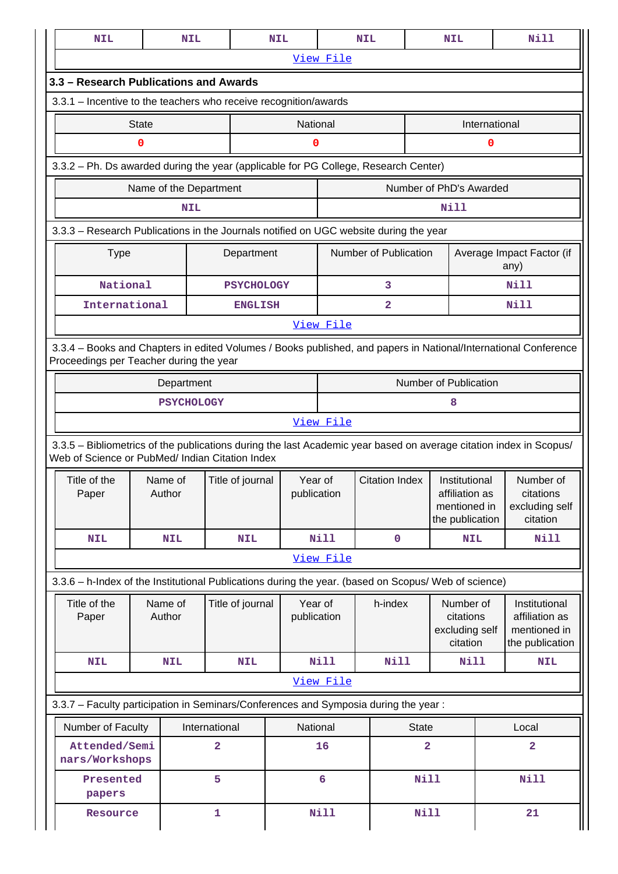| <b>NIL</b>                                                                                                                                                            |              | <b>NIL</b>             |                   | <b>NIL</b>              |                       | <b>NIL</b>            |                                                                    | <b>NIL</b>                               |                                                      | <b>Nill</b>                                       |
|-----------------------------------------------------------------------------------------------------------------------------------------------------------------------|--------------|------------------------|-------------------|-------------------------|-----------------------|-----------------------|--------------------------------------------------------------------|------------------------------------------|------------------------------------------------------|---------------------------------------------------|
|                                                                                                                                                                       |              |                        |                   |                         | View File             |                       |                                                                    |                                          |                                                      |                                                   |
| 3.3 - Research Publications and Awards                                                                                                                                |              |                        |                   |                         |                       |                       |                                                                    |                                          |                                                      |                                                   |
| 3.3.1 - Incentive to the teachers who receive recognition/awards                                                                                                      |              |                        |                   |                         |                       |                       |                                                                    |                                          |                                                      |                                                   |
|                                                                                                                                                                       | <b>State</b> |                        |                   | National                |                       |                       |                                                                    | International                            |                                                      |                                                   |
|                                                                                                                                                                       | 0            |                        |                   | 0                       |                       |                       |                                                                    |                                          | 0                                                    |                                                   |
| 3.3.2 - Ph. Ds awarded during the year (applicable for PG College, Research Center)                                                                                   |              |                        |                   |                         |                       |                       |                                                                    |                                          |                                                      |                                                   |
|                                                                                                                                                                       |              | Name of the Department |                   | Number of PhD's Awarded |                       |                       |                                                                    |                                          |                                                      |                                                   |
|                                                                                                                                                                       |              | <b>NIL</b>             |                   |                         |                       |                       |                                                                    | Nill                                     |                                                      |                                                   |
| 3.3.3 - Research Publications in the Journals notified on UGC website during the year                                                                                 |              |                        |                   |                         |                       |                       |                                                                    |                                          |                                                      |                                                   |
| <b>Type</b>                                                                                                                                                           |              |                        | Department        |                         |                       | Number of Publication |                                                                    |                                          |                                                      | Average Impact Factor (if<br>any)                 |
| National                                                                                                                                                              |              |                        | <b>PSYCHOLOGY</b> |                         |                       | 3                     |                                                                    |                                          |                                                      | Nill                                              |
| International                                                                                                                                                         |              |                        | <b>ENGLISH</b>    |                         |                       | 2                     |                                                                    |                                          |                                                      | Nill                                              |
|                                                                                                                                                                       |              |                        |                   |                         | View File             |                       |                                                                    |                                          |                                                      |                                                   |
| 3.3.4 - Books and Chapters in edited Volumes / Books published, and papers in National/International Conference<br>Proceedings per Teacher during the year            |              |                        |                   |                         |                       |                       |                                                                    |                                          |                                                      |                                                   |
|                                                                                                                                                                       |              | Department             |                   |                         | Number of Publication |                       |                                                                    |                                          |                                                      |                                                   |
|                                                                                                                                                                       |              | <b>PSYCHOLOGY</b>      |                   |                         |                       |                       |                                                                    | 8                                        |                                                      |                                                   |
|                                                                                                                                                                       |              |                        |                   |                         | View File             |                       |                                                                    |                                          |                                                      |                                                   |
| 3.3.5 - Bibliometrics of the publications during the last Academic year based on average citation index in Scopus/<br>Web of Science or PubMed/ Indian Citation Index |              |                        |                   |                         |                       |                       |                                                                    |                                          |                                                      |                                                   |
| Title of the<br>Paper                                                                                                                                                 |              | Name of<br>Author      | Title of journal  | Year of<br>publication  |                       | <b>Citation Index</b> | Institutional<br>affiliation as<br>mentioned in<br>the publication |                                          | Number of<br>citations<br>excluding self<br>citation |                                                   |
| <b>NIL</b>                                                                                                                                                            |              | <b>NIL</b>             | <b>NIL</b>        |                         | <b>Nill</b>           | $\mathbf 0$           |                                                                    | <b>NIL</b>                               |                                                      | Nill                                              |
|                                                                                                                                                                       |              |                        |                   |                         | View File             |                       |                                                                    |                                          |                                                      |                                                   |
| 3.3.6 - h-Index of the Institutional Publications during the year. (based on Scopus/ Web of science)                                                                  |              |                        |                   |                         |                       |                       |                                                                    |                                          |                                                      |                                                   |
| Title of the<br>Paper                                                                                                                                                 | Author       | Name of                | Title of journal  | Year of                 |                       | h-index               |                                                                    | Number of<br>citations<br>excluding self |                                                      | Institutional                                     |
|                                                                                                                                                                       |              |                        |                   |                         | publication           |                       |                                                                    | citation                                 |                                                      | affiliation as<br>mentioned in<br>the publication |
| <b>NIL</b>                                                                                                                                                            |              | <b>NIL</b>             | <b>NIL</b>        |                         | <b>Nill</b>           | Nill                  |                                                                    | Nill                                     |                                                      | <b>NIL</b>                                        |
|                                                                                                                                                                       |              |                        |                   |                         | View File             |                       |                                                                    |                                          |                                                      |                                                   |
|                                                                                                                                                                       |              |                        |                   |                         |                       |                       |                                                                    |                                          |                                                      |                                                   |
| Number of Faculty                                                                                                                                                     |              |                        | International     | National                |                       |                       | <b>State</b>                                                       |                                          |                                                      | Local                                             |
| Attended/Semi<br>nars/Workshops                                                                                                                                       |              |                        | $\overline{a}$    |                         | 16                    |                       | $\overline{a}$                                                     |                                          |                                                      | 2                                                 |
| 3.3.7 - Faculty participation in Seminars/Conferences and Symposia during the year:<br>Presented<br>papers                                                            |              |                        | 5                 |                         | $6\phantom{a}$        |                       | <b>Nill</b>                                                        |                                          |                                                      | <b>Nill</b>                                       |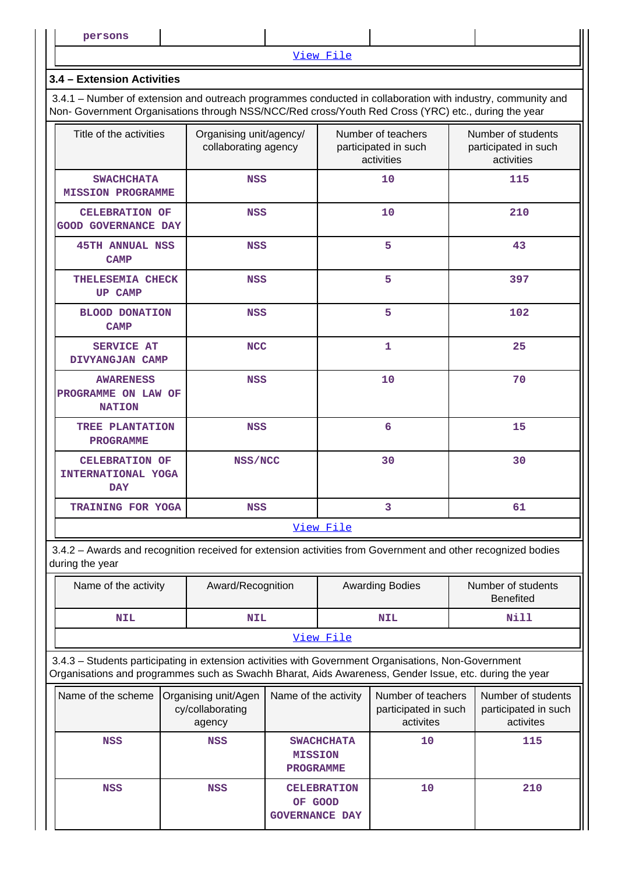[View File](https://assessmentonline.naac.gov.in/public/Postacc/Faculty_participation/10126_Faculty_participation_1617597447.xlsx)

#### **3.4 – Extension Activities**

 3.4.1 – Number of extension and outreach programmes conducted in collaboration with industry, community and Non- Government Organisations through NSS/NCC/Red cross/Youth Red Cross (YRC) etc., during the year

| Title of the activities                                   | Organising unit/agency/<br>collaborating agency | Number of teachers<br>participated in such<br>activities | Number of students<br>participated in such<br>activities |  |  |
|-----------------------------------------------------------|-------------------------------------------------|----------------------------------------------------------|----------------------------------------------------------|--|--|
| <b>SWACHCHATA</b><br><b>MISSION PROGRAMME</b>             | <b>NSS</b>                                      | 10                                                       | 115                                                      |  |  |
| <b>CELEBRATION OF</b><br><b>GOOD GOVERNANCE DAY</b>       | <b>NSS</b>                                      | 10                                                       | 210                                                      |  |  |
| <b>45TH ANNUAL NSS</b><br><b>CAMP</b>                     | <b>NSS</b>                                      | 5                                                        | 43                                                       |  |  |
| THELESEMIA CHECK<br><b>UP CAMP</b>                        | <b>NSS</b>                                      | 5                                                        | 397                                                      |  |  |
| <b>BLOOD DONATION</b><br><b>CAMP</b>                      | <b>NSS</b>                                      | 5                                                        | 102                                                      |  |  |
| <b>SERVICE AT</b><br>DIVYANGJAN CAMP                      | <b>NCC</b>                                      | $\mathbf{1}$                                             | 25                                                       |  |  |
| <b>AWARENESS</b><br>PROGRAMME ON LAW OF<br><b>NATION</b>  | <b>NSS</b>                                      | 10                                                       | 70                                                       |  |  |
| TREE PLANTATION<br><b>PROGRAMME</b>                       | <b>NSS</b>                                      | 6                                                        | 15                                                       |  |  |
| <b>CELEBRATION OF</b><br>INTERNATIONAL YOGA<br><b>DAY</b> | NSS/NCC                                         | 30                                                       | 30                                                       |  |  |
| TRAINING FOR YOGA                                         | <b>NSS</b>                                      | 3                                                        | 61                                                       |  |  |
|                                                           |                                                 | View File                                                |                                                          |  |  |

 3.4.2 – Awards and recognition received for extension activities from Government and other recognized bodies during the year

| Name of the activity | Award/Recognition |            | Number of students<br><b>Benefited</b> |  |  |
|----------------------|-------------------|------------|----------------------------------------|--|--|
| NIL                  | <b>NIL</b>        | <b>NIL</b> | Nill                                   |  |  |
|                      |                   | View File  |                                        |  |  |

 3.4.3 – Students participating in extension activities with Government Organisations, Non-Government Organisations and programmes such as Swachh Bharat, Aids Awareness, Gender Issue, etc. during the year

| Name of the scheme | Organising unit/Agen<br>cy/collaborating<br>agency | Name of the activity                                    | Number of teachers<br>participated in such<br>activites | Number of students<br>participated in such<br>activites |
|--------------------|----------------------------------------------------|---------------------------------------------------------|---------------------------------------------------------|---------------------------------------------------------|
| <b>NSS</b>         | <b>NSS</b>                                         | <b>SWACHCHATA</b><br><b>MISSION</b><br><b>PROGRAMME</b> | 10                                                      | 115                                                     |
| <b>NSS</b>         | <b>NSS</b>                                         | <b>CELEBRATION</b><br>OF GOOD<br><b>GOVERNANCE DAY</b>  | 10                                                      | 210                                                     |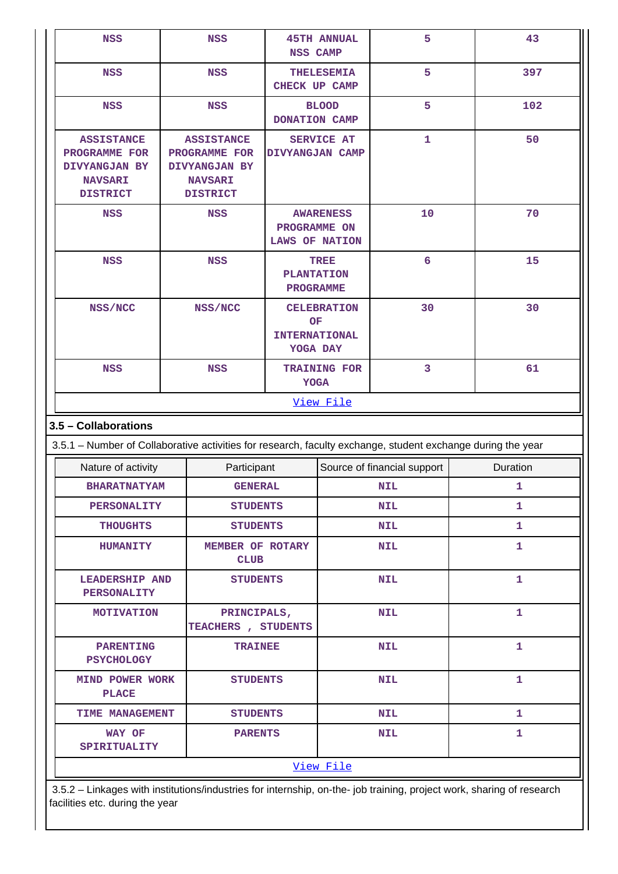| NSS                                                                                                         | <b>NSS</b>                                                                               | <b>NSS CAMP</b>                   | <b>45TH ANNUAL</b>                                           | 5                           | 43           |  |  |
|-------------------------------------------------------------------------------------------------------------|------------------------------------------------------------------------------------------|-----------------------------------|--------------------------------------------------------------|-----------------------------|--------------|--|--|
| <b>NSS</b>                                                                                                  | <b>NSS</b>                                                                               |                                   | <b>THELESEMIA</b><br><b>CHECK UP CAMP</b>                    | 5                           | 397          |  |  |
| <b>NSS</b>                                                                                                  | <b>NSS</b>                                                                               |                                   | <b>BLOOD</b><br>DONATION CAMP                                | 5                           | 102          |  |  |
| <b>ASSISTANCE</b><br>PROGRAMME FOR<br>DIVYANGJAN BY<br><b>NAVSARI</b><br><b>DISTRICT</b>                    | <b>ASSISTANCE</b><br>PROGRAMME FOR<br>DIVYANGJAN BY<br><b>NAVSARI</b><br><b>DISTRICT</b> |                                   | <b>SERVICE AT</b><br>DIVYANGJAN CAMP                         | $\mathbf{1}$                | 50           |  |  |
| <b>NSS</b>                                                                                                  | <b>NSS</b>                                                                               |                                   | <b>AWARENESS</b><br>PROGRAMME ON<br><b>LAWS OF NATION</b>    | 10                          | 70           |  |  |
| <b>NSS</b>                                                                                                  | <b>NSS</b>                                                                               |                                   | TREE<br><b>PLANTATION</b><br><b>PROGRAMME</b>                | 6                           | 15           |  |  |
| NSS/NCC                                                                                                     | NSS/NCC                                                                                  |                                   | <b>CELEBRATION</b><br>OF<br><b>INTERNATIONAL</b><br>YOGA DAY | 30                          | 30           |  |  |
| <b>NSS</b>                                                                                                  | <b>NSS</b>                                                                               |                                   | <b>TRAINING FOR</b><br><b>YOGA</b>                           | 3                           | 61           |  |  |
|                                                                                                             |                                                                                          |                                   | View File                                                    |                             |              |  |  |
| 3.5 - Collaborations                                                                                        |                                                                                          |                                   |                                                              |                             |              |  |  |
| 3.5.1 - Number of Collaborative activities for research, faculty exchange, student exchange during the year |                                                                                          |                                   |                                                              |                             |              |  |  |
| Nature of activity                                                                                          |                                                                                          | Participant                       |                                                              | Source of financial support | Duration     |  |  |
| <b>BHARATNATYAM</b>                                                                                         |                                                                                          | <b>GENERAL</b>                    |                                                              | <b>NIL</b>                  | 1            |  |  |
| <b>PERSONALITY</b>                                                                                          |                                                                                          | <b>STUDENTS</b>                   |                                                              | <b>NIL</b>                  | $\mathbf{1}$ |  |  |
| <b>THOUGHTS</b>                                                                                             |                                                                                          | <b>STUDENTS</b>                   |                                                              | <b>NIL</b>                  | 1            |  |  |
| <b>HUMANITY</b>                                                                                             |                                                                                          | MEMBER OF ROTARY<br><b>CLUB</b>   |                                                              | <b>NIL</b>                  | 1            |  |  |
| <b>LEADERSHIP AND</b><br><b>PERSONALITY</b>                                                                 |                                                                                          | <b>STUDENTS</b>                   |                                                              | <b>NIL</b>                  | $\mathbf{1}$ |  |  |
| <b>MOTIVATION</b>                                                                                           |                                                                                          | PRINCIPALS,<br>TEACHERS, STUDENTS |                                                              | <b>NIL</b>                  | 1            |  |  |
| <b>PARENTING</b><br><b>PSYCHOLOGY</b>                                                                       |                                                                                          | <b>TRAINEE</b>                    |                                                              | <b>NIL</b>                  | $\mathbf{1}$ |  |  |
| <b>MIND POWER WORK</b><br><b>PLACE</b>                                                                      |                                                                                          | <b>STUDENTS</b>                   |                                                              | <b>NIL</b>                  | $\mathbf{1}$ |  |  |
| TIME MANAGEMENT                                                                                             |                                                                                          | <b>STUDENTS</b>                   |                                                              | <b>NIL</b>                  | 1.           |  |  |
| WAY OF<br>SPIRITUALITY                                                                                      |                                                                                          | <b>PARENTS</b>                    |                                                              | <b>NIL</b>                  | 1            |  |  |
|                                                                                                             |                                                                                          |                                   | View File                                                    |                             |              |  |  |

 3.5.2 – Linkages with institutions/industries for internship, on-the- job training, project work, sharing of research facilities etc. during the year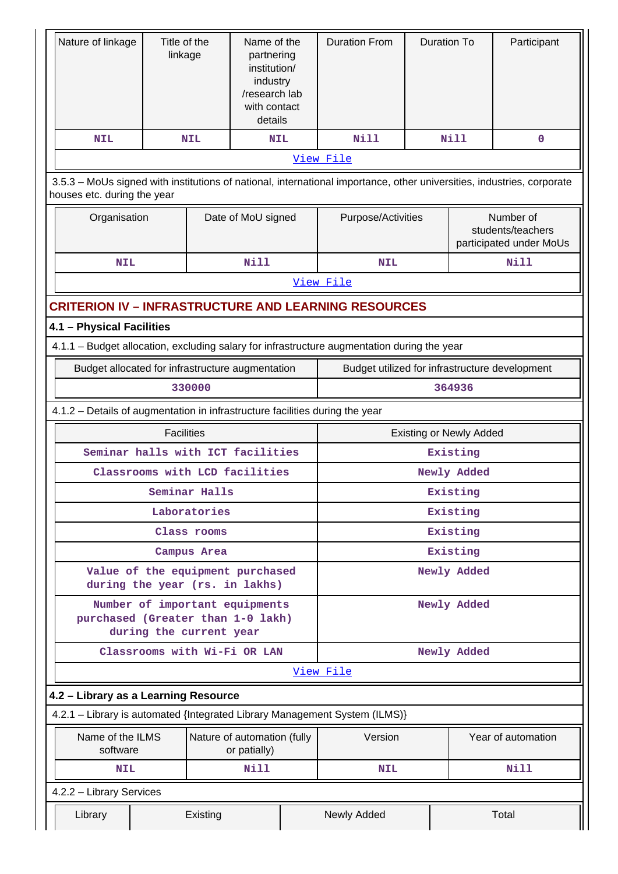| Nature of linkage                                                                                                                                     | Title of the<br>linkage                          |               | Name of the<br>partnering<br>institution/<br>industry<br>/research lab<br>with contact<br>details |            | <b>Duration From</b> | <b>Duration To</b><br><b>Nill</b>              |                                | Participant                                               |  |  |
|-------------------------------------------------------------------------------------------------------------------------------------------------------|--------------------------------------------------|---------------|---------------------------------------------------------------------------------------------------|------------|----------------------|------------------------------------------------|--------------------------------|-----------------------------------------------------------|--|--|
| <b>NIL</b>                                                                                                                                            |                                                  | <b>NIL</b>    | <b>NIL</b>                                                                                        |            | <b>Nill</b>          |                                                |                                | $\mathbf 0$                                               |  |  |
|                                                                                                                                                       |                                                  |               |                                                                                                   |            | View File            |                                                |                                |                                                           |  |  |
| 3.5.3 – MoUs signed with institutions of national, international importance, other universities, industries, corporate<br>houses etc. during the year |                                                  |               |                                                                                                   |            |                      |                                                |                                |                                                           |  |  |
| Organisation                                                                                                                                          |                                                  |               | Date of MoU signed                                                                                |            | Purpose/Activities   |                                                |                                | Number of<br>students/teachers<br>participated under MoUs |  |  |
| <b>NIL</b>                                                                                                                                            |                                                  | Nill          |                                                                                                   | <b>NIL</b> |                      |                                                | Nill                           |                                                           |  |  |
|                                                                                                                                                       |                                                  |               |                                                                                                   |            | View File            |                                                |                                |                                                           |  |  |
| <b>CRITERION IV - INFRASTRUCTURE AND LEARNING RESOURCES</b>                                                                                           |                                                  |               |                                                                                                   |            |                      |                                                |                                |                                                           |  |  |
| 4.1 - Physical Facilities                                                                                                                             |                                                  |               |                                                                                                   |            |                      |                                                |                                |                                                           |  |  |
| 4.1.1 - Budget allocation, excluding salary for infrastructure augmentation during the year                                                           |                                                  |               |                                                                                                   |            |                      |                                                |                                |                                                           |  |  |
|                                                                                                                                                       | Budget allocated for infrastructure augmentation |               |                                                                                                   |            |                      | Budget utilized for infrastructure development |                                |                                                           |  |  |
|                                                                                                                                                       | 330000                                           |               |                                                                                                   |            |                      |                                                | 364936                         |                                                           |  |  |
| 4.1.2 - Details of augmentation in infrastructure facilities during the year                                                                          |                                                  |               |                                                                                                   |            |                      |                                                |                                |                                                           |  |  |
|                                                                                                                                                       | <b>Facilities</b>                                |               |                                                                                                   |            |                      |                                                | <b>Existing or Newly Added</b> |                                                           |  |  |
| Seminar halls with ICT facilities                                                                                                                     |                                                  |               |                                                                                                   |            |                      |                                                | Existing                       |                                                           |  |  |
| Classrooms with LCD facilities                                                                                                                        |                                                  |               |                                                                                                   |            |                      |                                                | Newly Added                    |                                                           |  |  |
|                                                                                                                                                       |                                                  | Seminar Halls |                                                                                                   |            | Existing             |                                                |                                |                                                           |  |  |
|                                                                                                                                                       |                                                  | Laboratories  |                                                                                                   |            | Existing             |                                                |                                |                                                           |  |  |
|                                                                                                                                                       |                                                  | Class rooms   |                                                                                                   |            | Existing             |                                                |                                |                                                           |  |  |
|                                                                                                                                                       |                                                  | Campus Area   |                                                                                                   |            | Existing             |                                                |                                |                                                           |  |  |
| Value of the equipment purchased<br>during the year (rs. in lakhs)                                                                                    |                                                  |               |                                                                                                   |            |                      |                                                | Newly Added                    |                                                           |  |  |
| Number of important equipments<br>purchased (Greater than 1-0 lakh)                                                                                   | during the current year                          |               |                                                                                                   |            |                      |                                                | Newly Added                    |                                                           |  |  |
|                                                                                                                                                       |                                                  |               | Classrooms with Wi-Fi OR LAN                                                                      |            |                      |                                                | Newly Added                    |                                                           |  |  |
|                                                                                                                                                       |                                                  |               |                                                                                                   |            | View File            |                                                |                                |                                                           |  |  |
| 4.2 - Library as a Learning Resource                                                                                                                  |                                                  |               |                                                                                                   |            |                      |                                                |                                |                                                           |  |  |
| 4.2.1 - Library is automated {Integrated Library Management System (ILMS)}                                                                            |                                                  |               |                                                                                                   |            |                      |                                                |                                |                                                           |  |  |
| Name of the ILMS<br>software                                                                                                                          | Nature of automation (fully<br>or patially)      |               | Version                                                                                           |            |                      | Year of automation                             |                                |                                                           |  |  |
| <b>NIL</b>                                                                                                                                            |                                                  |               | Nill                                                                                              |            | <b>NIL</b>           |                                                | <b>Nill</b>                    |                                                           |  |  |
| 4.2.2 - Library Services                                                                                                                              |                                                  |               |                                                                                                   |            |                      |                                                |                                |                                                           |  |  |
| Library                                                                                                                                               | Existing                                         |               |                                                                                                   |            | Newly Added          |                                                |                                | Total                                                     |  |  |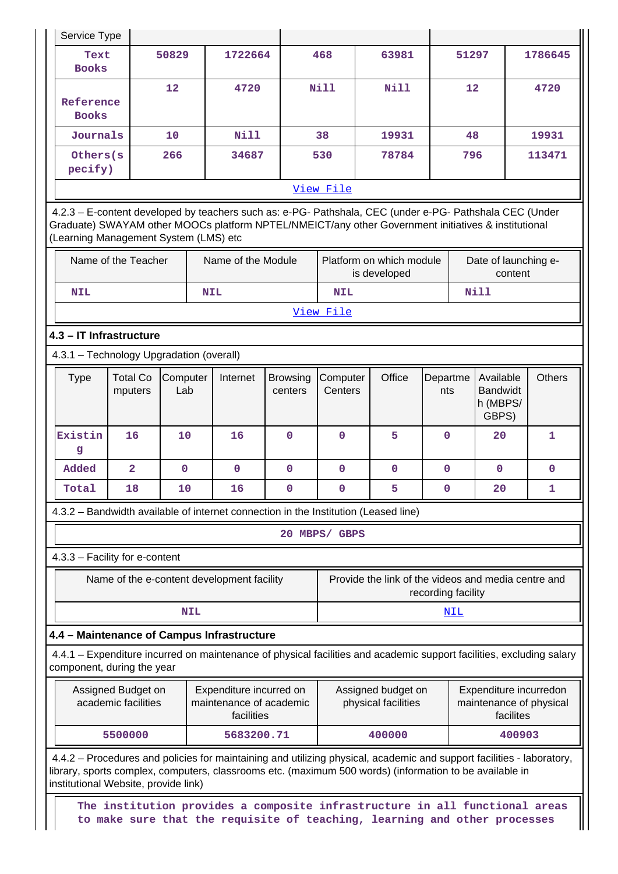| Service Type                                                                                                                                                                                                                                                             |                            |                 |                                                                                                                                                          |                            |                     |       |                                                     |                 |                    |                                                   |           |                                                   |
|--------------------------------------------------------------------------------------------------------------------------------------------------------------------------------------------------------------------------------------------------------------------------|----------------------------|-----------------|----------------------------------------------------------------------------------------------------------------------------------------------------------|----------------------------|---------------------|-------|-----------------------------------------------------|-----------------|--------------------|---------------------------------------------------|-----------|---------------------------------------------------|
| Text<br><b>Books</b>                                                                                                                                                                                                                                                     |                            | 50829           | 1722664                                                                                                                                                  |                            | 468                 |       | 63981                                               |                 | 51297              |                                                   |           | 1786645                                           |
| Reference<br><b>Books</b>                                                                                                                                                                                                                                                |                            | 12              | 4720                                                                                                                                                     |                            | <b>Nill</b>         |       | <b>Nill</b>                                         |                 | 12                 |                                                   |           | 4720                                              |
| Journals                                                                                                                                                                                                                                                                 |                            | 10              | Nill                                                                                                                                                     |                            | 38                  |       | 19931                                               |                 |                    | 48                                                |           | 19931                                             |
| Others(s<br>pecify)                                                                                                                                                                                                                                                      |                            | 266             | 34687                                                                                                                                                    |                            | 530                 | 78784 |                                                     |                 | 796                |                                                   |           | 113471                                            |
|                                                                                                                                                                                                                                                                          |                            |                 |                                                                                                                                                          |                            | View File           |       |                                                     |                 |                    |                                                   |           |                                                   |
| 4.2.3 - E-content developed by teachers such as: e-PG- Pathshala, CEC (under e-PG- Pathshala CEC (Under<br>Graduate) SWAYAM other MOOCs platform NPTEL/NMEICT/any other Government initiatives & institutional<br>(Learning Management System (LMS) etc                  |                            |                 |                                                                                                                                                          |                            |                     |       |                                                     |                 |                    |                                                   |           |                                                   |
| Name of the Teacher<br>Name of the Module                                                                                                                                                                                                                                |                            |                 |                                                                                                                                                          |                            |                     |       | Platform on which module<br>is developed            |                 |                    | Date of launching e-                              | content   |                                                   |
| <b>NIL</b>                                                                                                                                                                                                                                                               |                            |                 | <b>NIL</b>                                                                                                                                               |                            | <b>NIL</b>          |       |                                                     |                 |                    | <b>Nill</b>                                       |           |                                                   |
|                                                                                                                                                                                                                                                                          |                            |                 |                                                                                                                                                          |                            | View File           |       |                                                     |                 |                    |                                                   |           |                                                   |
| 4.3 - IT Infrastructure                                                                                                                                                                                                                                                  |                            |                 |                                                                                                                                                          |                            |                     |       |                                                     |                 |                    |                                                   |           |                                                   |
| 4.3.1 - Technology Upgradation (overall)                                                                                                                                                                                                                                 |                            |                 |                                                                                                                                                          |                            |                     |       |                                                     |                 |                    |                                                   |           |                                                   |
| <b>Type</b>                                                                                                                                                                                                                                                              | <b>Total Co</b><br>mputers | Computer<br>Lab | Internet                                                                                                                                                 | <b>Browsing</b><br>centers | Computer<br>Centers |       | Office                                              | Departme<br>nts |                    | Available<br><b>Bandwidt</b><br>h (MBPS/<br>GBPS) |           | <b>Others</b>                                     |
| Existin<br>g                                                                                                                                                                                                                                                             | 16                         | 10              | 16                                                                                                                                                       | $\Omega$                   | $\mathbf 0$         |       | 5                                                   | $\mathbf 0$     |                    | 20                                                |           | 1                                                 |
| Added                                                                                                                                                                                                                                                                    | $\overline{2}$             | $\mathbf 0$     | $\mathbf 0$                                                                                                                                              | $\mathbf{0}$               | $\mathbf{0}$        |       | $\mathbf 0$                                         | $\mathbf{O}$    |                    | $\mathbf{0}$                                      |           | 0                                                 |
| Total                                                                                                                                                                                                                                                                    | 18                         | 10              | 16                                                                                                                                                       | $\mathbf{0}$               | 0                   |       | 5                                                   | 0               |                    | 20                                                |           | 1                                                 |
| 4.3.2 - Bandwidth available of internet connection in the Institution (Leased line)                                                                                                                                                                                      |                            |                 |                                                                                                                                                          |                            |                     |       |                                                     |                 |                    |                                                   |           |                                                   |
|                                                                                                                                                                                                                                                                          |                            |                 |                                                                                                                                                          |                            | 20 MBPS/ GBPS       |       |                                                     |                 |                    |                                                   |           |                                                   |
| 4.3.3 - Facility for e-content                                                                                                                                                                                                                                           |                            |                 |                                                                                                                                                          |                            |                     |       |                                                     |                 |                    |                                                   |           |                                                   |
|                                                                                                                                                                                                                                                                          |                            |                 | Name of the e-content development facility                                                                                                               |                            |                     |       | Provide the link of the videos and media centre and |                 | recording facility |                                                   |           |                                                   |
|                                                                                                                                                                                                                                                                          |                            | <b>NIL</b>      |                                                                                                                                                          |                            |                     |       |                                                     |                 | NIL                |                                                   |           |                                                   |
| 4.4 - Maintenance of Campus Infrastructure                                                                                                                                                                                                                               |                            |                 |                                                                                                                                                          |                            |                     |       |                                                     |                 |                    |                                                   |           |                                                   |
| 4.4.1 – Expenditure incurred on maintenance of physical facilities and academic support facilities, excluding salary<br>component, during the year                                                                                                                       |                            |                 |                                                                                                                                                          |                            |                     |       |                                                     |                 |                    |                                                   |           |                                                   |
| Assigned Budget on<br>academic facilities                                                                                                                                                                                                                                |                            |                 | Expenditure incurred on<br>maintenance of academic<br>facilities                                                                                         |                            |                     |       | Assigned budget on<br>physical facilities           |                 |                    |                                                   | facilites | Expenditure incurredon<br>maintenance of physical |
|                                                                                                                                                                                                                                                                          | 5500000                    |                 | 5683200.71                                                                                                                                               |                            |                     |       | 400000                                              |                 |                    |                                                   | 400903    |                                                   |
| 4.4.2 – Procedures and policies for maintaining and utilizing physical, academic and support facilities - laboratory,<br>library, sports complex, computers, classrooms etc. (maximum 500 words) (information to be available in<br>institutional Website, provide link) |                            |                 |                                                                                                                                                          |                            |                     |       |                                                     |                 |                    |                                                   |           |                                                   |
|                                                                                                                                                                                                                                                                          |                            |                 | The institution provides a composite infrastructure in all functional areas<br>to make sure that the requisite of teaching, learning and other processes |                            |                     |       |                                                     |                 |                    |                                                   |           |                                                   |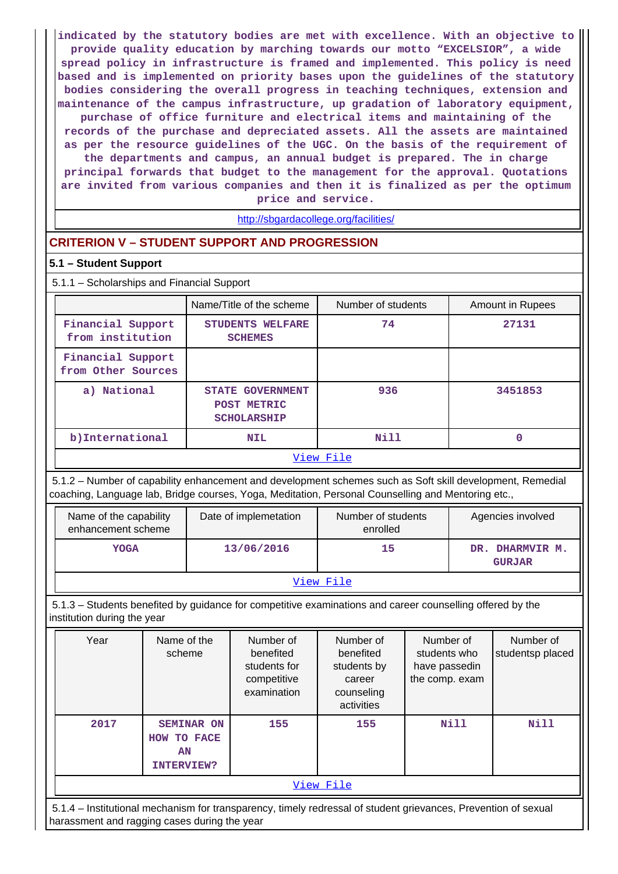**indicated by the statutory bodies are met with excellence. With an objective to provide quality education by marching towards our motto "EXCELSIOR", a wide spread policy in infrastructure is framed and implemented. This policy is need based and is implemented on priority bases upon the guidelines of the statutory bodies considering the overall progress in teaching techniques, extension and maintenance of the campus infrastructure, up gradation of laboratory equipment, purchase of office furniture and electrical items and maintaining of the records of the purchase and depreciated assets. All the assets are maintained as per the resource guidelines of the UGC. On the basis of the requirement of the departments and campus, an annual budget is prepared. The in charge principal forwards that budget to the management for the approval. Quotations are invited from various companies and then it is finalized as per the optimum**

**price and service.**

<http://sbgardacollege.org/facilities/>

## **CRITERION V – STUDENT SUPPORT AND PROGRESSION**

## **5.1 – Student Support**

5.1.1 – Scholarships and Financial Support

|                                         | Name/Title of the scheme                                     | Number of students | Amount in Rupees |  |  |  |  |
|-----------------------------------------|--------------------------------------------------------------|--------------------|------------------|--|--|--|--|
| Financial Support<br>from institution   | STUDENTS WELFARE<br><b>SCHEMES</b>                           | 74                 | 27131            |  |  |  |  |
| Financial Support<br>from Other Sources |                                                              |                    |                  |  |  |  |  |
| a) National                             | <b>STATE GOVERNMENT</b><br>POST METRIC<br><b>SCHOLARSHIP</b> | 936                | 3451853          |  |  |  |  |
| b) International                        | <b>NIL</b>                                                   | Nill               | 0                |  |  |  |  |
| View File                               |                                                              |                    |                  |  |  |  |  |

 5.1.2 – Number of capability enhancement and development schemes such as Soft skill development, Remedial coaching, Language lab, Bridge courses, Yoga, Meditation, Personal Counselling and Mentoring etc.,

| Name of the capability<br>enhancement scheme | Date of implemetation | Number of students<br>enrolled | Agencies involved                   |  |  |  |
|----------------------------------------------|-----------------------|--------------------------------|-------------------------------------|--|--|--|
| <b>YOGA</b>                                  | 13/06/2016            | 15                             | DHARMVIR M.<br>DR.<br><b>GURJAR</b> |  |  |  |
| View File                                    |                       |                                |                                     |  |  |  |

 5.1.3 – Students benefited by guidance for competitive examinations and career counselling offered by the institution during the year

| Year      | Name of the<br>scheme                                                                                          | Number of<br>benefited<br>students for<br>competitive<br>examination | Number of<br>benefited<br>students by<br>career<br>counseling<br>activities | Number of<br>students who<br>have passedin<br>the comp. exam | Number of<br>studentsp placed |  |  |  |
|-----------|----------------------------------------------------------------------------------------------------------------|----------------------------------------------------------------------|-----------------------------------------------------------------------------|--------------------------------------------------------------|-------------------------------|--|--|--|
| 2017      | <b>SEMINAR ON</b><br>HOW TO FACE<br>AN<br><b>INTERVIEW?</b>                                                    | 155                                                                  | 155                                                                         | Nill                                                         | Nill                          |  |  |  |
| View File |                                                                                                                |                                                                      |                                                                             |                                                              |                               |  |  |  |
|           | 5.1.4 – Institutional mechanism for transparency, timely redressal of student grievances, Prevention of sexual |                                                                      |                                                                             |                                                              |                               |  |  |  |

harassment and ragging cases during the year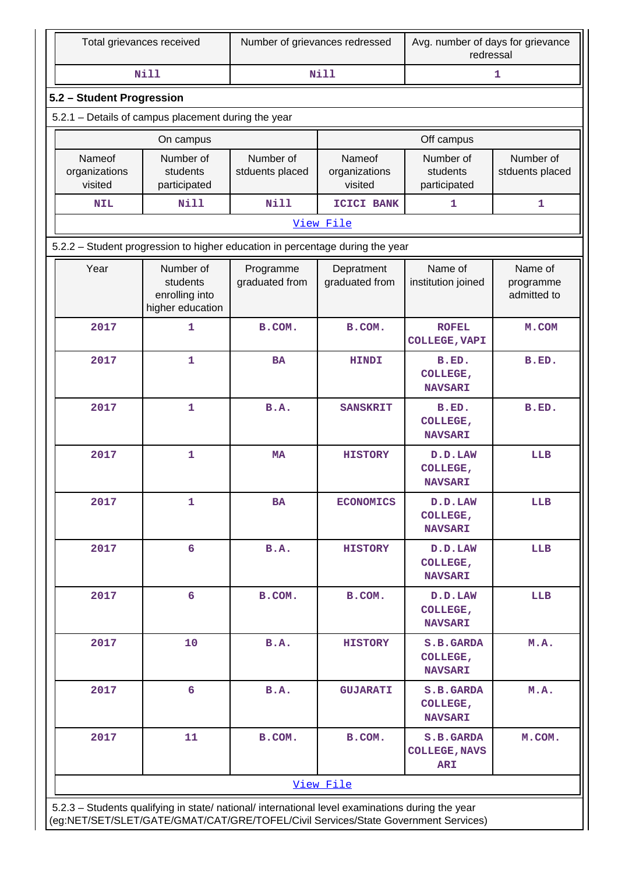| Total grievances received                                                                                                                                                              |                                                                                                                                                                                                    | Number of grievances redressed |                                    | Avg. number of days for grievance<br>redressal  |                              |  |  |  |  |  |
|----------------------------------------------------------------------------------------------------------------------------------------------------------------------------------------|----------------------------------------------------------------------------------------------------------------------------------------------------------------------------------------------------|--------------------------------|------------------------------------|-------------------------------------------------|------------------------------|--|--|--|--|--|
|                                                                                                                                                                                        | <b>Nill</b>                                                                                                                                                                                        |                                | Nill                               | 1                                               |                              |  |  |  |  |  |
| 5.2 - Student Progression                                                                                                                                                              |                                                                                                                                                                                                    |                                |                                    |                                                 |                              |  |  |  |  |  |
| 5.2.1 - Details of campus placement during the year                                                                                                                                    |                                                                                                                                                                                                    |                                |                                    |                                                 |                              |  |  |  |  |  |
|                                                                                                                                                                                        | On campus                                                                                                                                                                                          |                                |                                    | Off campus                                      |                              |  |  |  |  |  |
| Nameof<br>organizations<br>visited                                                                                                                                                     | Number of<br>students<br>participated                                                                                                                                                              | Number of<br>stduents placed   | Nameof<br>organizations<br>visited | Number of<br>students<br>participated           | Number of<br>stduents placed |  |  |  |  |  |
| <b>NIL</b>                                                                                                                                                                             | <b>Nill</b>                                                                                                                                                                                        | <b>Nill</b>                    | ICICI BANK                         | $\mathbf{1}$                                    | $\mathbf{1}$                 |  |  |  |  |  |
| View File                                                                                                                                                                              |                                                                                                                                                                                                    |                                |                                    |                                                 |                              |  |  |  |  |  |
| 5.2.2 - Student progression to higher education in percentage during the year                                                                                                          |                                                                                                                                                                                                    |                                |                                    |                                                 |                              |  |  |  |  |  |
| Year                                                                                                                                                                                   | Number of<br>Name of<br>Programme<br>Depratment<br>Name of<br>students<br>graduated from<br>graduated from<br>institution joined<br>programme<br>admitted to<br>enrolling into<br>higher education |                                |                                    |                                                 |                              |  |  |  |  |  |
| 2017                                                                                                                                                                                   | 1<br>B.COM.<br><b>ROFEL</b><br>B.COM.<br><b>COLLEGE, VAPI</b>                                                                                                                                      |                                |                                    |                                                 |                              |  |  |  |  |  |
| 2017                                                                                                                                                                                   | 1                                                                                                                                                                                                  | <b>BA</b><br><b>HINDI</b>      |                                    | B.ED.<br>COLLEGE,<br><b>NAVSARI</b>             | B.ED.                        |  |  |  |  |  |
| 2017                                                                                                                                                                                   | $\mathbf{1}$                                                                                                                                                                                       | B.A.                           | <b>SANSKRIT</b>                    |                                                 | B.ED.                        |  |  |  |  |  |
| 2017                                                                                                                                                                                   | 1                                                                                                                                                                                                  | <b>MA</b>                      | <b>HISTORY</b>                     | D.D.LAW<br>COLLEGE,<br><b>NAVSARI</b>           | LLB                          |  |  |  |  |  |
| 2017                                                                                                                                                                                   | $\mathbf{1}$                                                                                                                                                                                       | <b>BA</b>                      | <b>ECONOMICS</b>                   | D.D.LAW<br>COLLEGE,<br><b>NAVSARI</b>           | LLB                          |  |  |  |  |  |
| 2017                                                                                                                                                                                   | $6\phantom{1}$                                                                                                                                                                                     | B.A.                           | <b>HISTORY</b>                     | D.D.LAW<br>COLLEGE,<br><b>NAVSARI</b>           | LLB                          |  |  |  |  |  |
| 2017                                                                                                                                                                                   | 6                                                                                                                                                                                                  | B.COM.                         | B.COM.                             | D.D.LAW<br>COLLEGE,<br><b>NAVSARI</b>           | LLB                          |  |  |  |  |  |
| 2017                                                                                                                                                                                   | 10                                                                                                                                                                                                 | <b>B.A.</b>                    | <b>HISTORY</b>                     | S.B.GARDA<br>COLLEGE,<br><b>NAVSARI</b>         | M.A.                         |  |  |  |  |  |
| 2017                                                                                                                                                                                   | 6                                                                                                                                                                                                  | <b>B.A.</b>                    | <b>GUJARATI</b>                    | S.B.GARDA<br>COLLEGE,<br><b>NAVSARI</b>         | M.A.                         |  |  |  |  |  |
| 2017                                                                                                                                                                                   | 11                                                                                                                                                                                                 | B.COM.                         | B.COM.                             | S.B.GARDA<br><b>COLLEGE, NAVS</b><br><b>ARI</b> | M.COM.                       |  |  |  |  |  |
|                                                                                                                                                                                        |                                                                                                                                                                                                    |                                | View File                          |                                                 |                              |  |  |  |  |  |
| 5.2.3 - Students qualifying in state/ national/ international level examinations during the year<br>(eg:NET/SET/SLET/GATE/GMAT/CAT/GRE/TOFEL/Civil Services/State Government Services) |                                                                                                                                                                                                    |                                |                                    |                                                 |                              |  |  |  |  |  |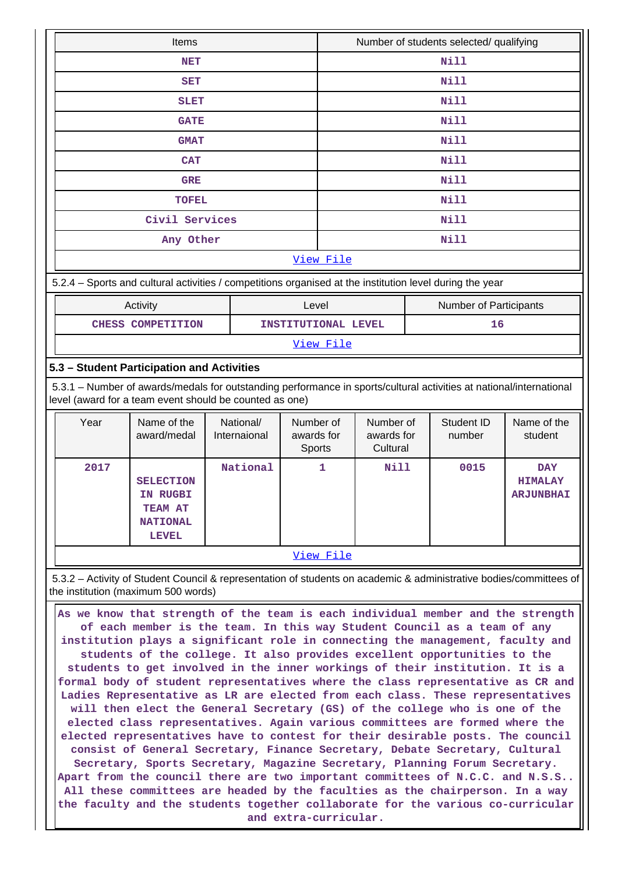| Items          | Number of students selected/ qualifying |  |  |  |  |  |
|----------------|-----------------------------------------|--|--|--|--|--|
| <b>NET</b>     | Nill                                    |  |  |  |  |  |
| <b>SET</b>     | Nill                                    |  |  |  |  |  |
| <b>SLET</b>    | Nill                                    |  |  |  |  |  |
| <b>GATE</b>    | Nill                                    |  |  |  |  |  |
| <b>GMAT</b>    | Nill                                    |  |  |  |  |  |
| <b>CAT</b>     | Nill                                    |  |  |  |  |  |
| <b>GRE</b>     | Nill                                    |  |  |  |  |  |
| <b>TOFEL</b>   | Nill                                    |  |  |  |  |  |
| Civil Services | Nill                                    |  |  |  |  |  |
| Any Other      | Nill                                    |  |  |  |  |  |
| View File      |                                         |  |  |  |  |  |

5.2.4 – Sports and cultural activities / competitions organised at the institution level during the year

| Activity               | Level               | <b>Number of Participants</b> |  |  |
|------------------------|---------------------|-------------------------------|--|--|
| COMPETITION<br>CHESS . | INSTITUTIONAL LEVEL |                               |  |  |

[View File](https://assessmentonline.naac.gov.in/public/Postacc/Activities_Organised/10126_Activities_Organised_1617604902.xlsx)

## **5.3 – Student Participation and Activities**

 5.3.1 – Number of awards/medals for outstanding performance in sports/cultural activities at national/international level (award for a team event should be counted as one)

| Year | Name of the<br>award/medal                                                 | National/<br>Internaional | Number of<br>awards for<br><b>Sports</b> | Number of<br>awards for<br>Cultural | Student ID<br>number | Name of the<br>student                           |
|------|----------------------------------------------------------------------------|---------------------------|------------------------------------------|-------------------------------------|----------------------|--------------------------------------------------|
| 2017 | <b>SELECTION</b><br>IN RUGBI<br>TEAM AT<br><b>NATIONAL</b><br><b>LEVEL</b> | National                  | 1                                        | <b>Nill</b>                         | 0015                 | <b>DAY</b><br><b>HIMALAY</b><br><b>ARJUNBHAI</b> |
|      |                                                                            |                           | -- -                                     |                                     |                      |                                                  |

#### [View File](https://assessmentonline.naac.gov.in/public/Postacc/awards_in_activities/10126_awards_in_activities_1617605609.xlsx)

 5.3.2 – Activity of Student Council & representation of students on academic & administrative bodies/committees of the institution (maximum 500 words)

 **As we know that strength of the team is each individual member and the strength of each member is the team. In this way Student Council as a team of any institution plays a significant role in connecting the management, faculty and students of the college. It also provides excellent opportunities to the students to get involved in the inner workings of their institution. It is a formal body of student representatives where the class representative as CR and Ladies Representative as LR are elected from each class. These representatives will then elect the General Secretary (GS) of the college who is one of the elected class representatives. Again various committees are formed where the elected representatives have to contest for their desirable posts. The council consist of General Secretary, Finance Secretary, Debate Secretary, Cultural Secretary, Sports Secretary, Magazine Secretary, Planning Forum Secretary. Apart from the council there are two important committees of N.C.C. and N.S.S.. All these committees are headed by the faculties as the chairperson. In a way the faculty and the students together collaborate for the various co-curricular and extra-curricular.**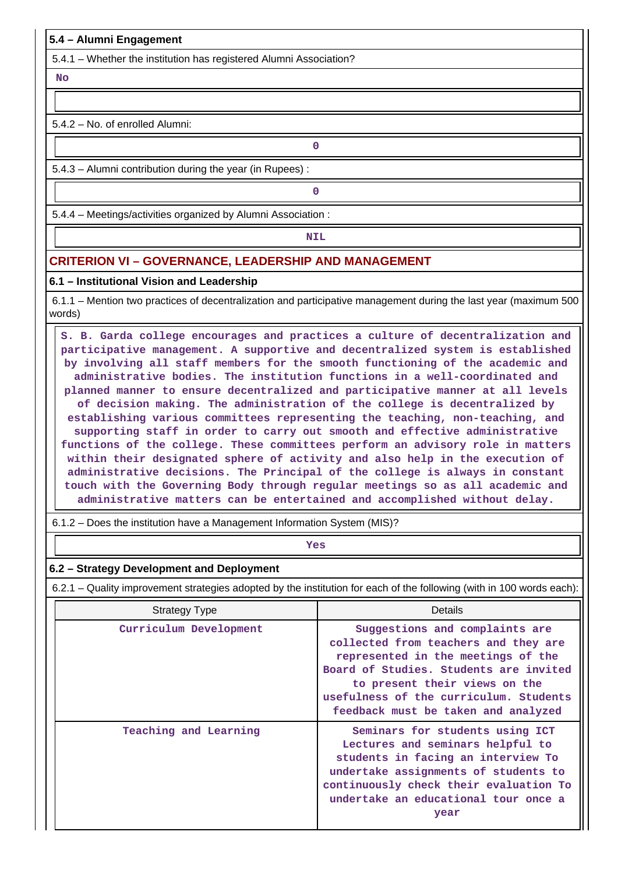### **5.4 – Alumni Engagement**

5.4.1 – Whether the institution has registered Alumni Association?

 **No**

5.4.2 – No. of enrolled Alumni:

**0**

5.4.3 – Alumni contribution during the year (in Rupees) :

**0**

5.4.4 – Meetings/activities organized by Alumni Association :

**NIL** 

## **CRITERION VI – GOVERNANCE, LEADERSHIP AND MANAGEMENT**

#### **6.1 – Institutional Vision and Leadership**

 6.1.1 – Mention two practices of decentralization and participative management during the last year (maximum 500 words)

 **S. B. Garda college encourages and practices a culture of decentralization and participative management. A supportive and decentralized system is established by involving all staff members for the smooth functioning of the academic and administrative bodies. The institution functions in a well-coordinated and planned manner to ensure decentralized and participative manner at all levels of decision making. The administration of the college is decentralized by establishing various committees representing the teaching, non-teaching, and supporting staff in order to carry out smooth and effective administrative functions of the college. These committees perform an advisory role in matters within their designated sphere of activity and also help in the execution of administrative decisions. The Principal of the college is always in constant touch with the Governing Body through regular meetings so as all academic and administrative matters can be entertained and accomplished without delay.**

6.1.2 – Does the institution have a Management Information System (MIS)?

*Yes* 

#### **6.2 – Strategy Development and Deployment**

6.2.1 – Quality improvement strategies adopted by the institution for each of the following (with in 100 words each):

| <b>Strategy Type</b>   | Details                                                                                                                                                                                                                                                                  |  |  |
|------------------------|--------------------------------------------------------------------------------------------------------------------------------------------------------------------------------------------------------------------------------------------------------------------------|--|--|
| Curriculum Development | Suggestions and complaints are<br>collected from teachers and they are<br>represented in the meetings of the<br>Board of Studies. Students are invited<br>to present their views on the<br>usefulness of the curriculum. Students<br>feedback must be taken and analyzed |  |  |
| Teaching and Learning  | Seminars for students using ICT<br>Lectures and seminars helpful to<br>students in facing an interview To<br>undertake assignments of students to<br>continuously check their evaluation To<br>undertake an educational tour once a<br>year                              |  |  |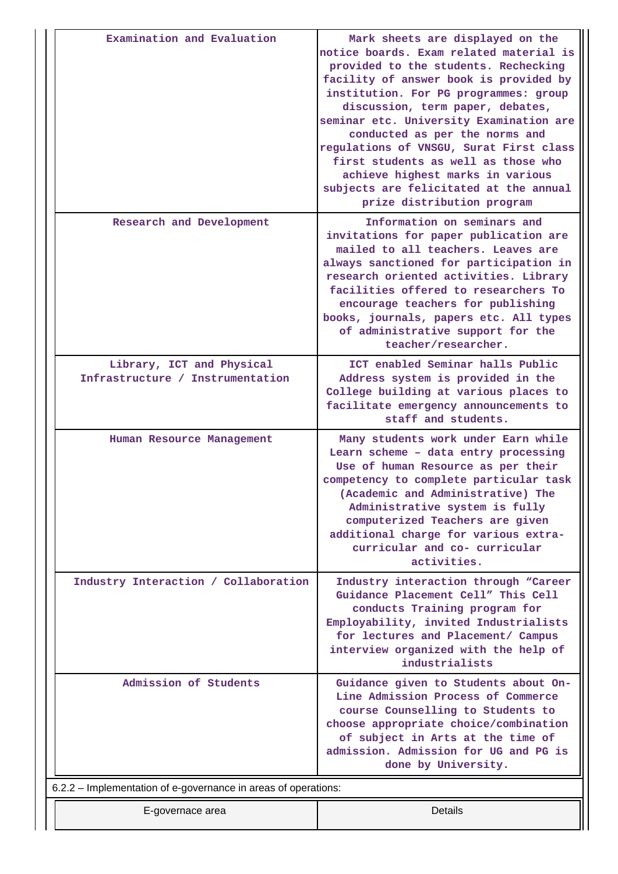| Examination and Evaluation                                     | Mark sheets are displayed on the<br>notice boards. Exam related material is<br>provided to the students. Rechecking<br>facility of answer book is provided by<br>institution. For PG programmes: group<br>discussion, term paper, debates,<br>seminar etc. University Examination are<br>conducted as per the norms and<br>regulations of VNSGU, Surat First class<br>first students as well as those who<br>achieve highest marks in various<br>subjects are felicitated at the annual<br>prize distribution program |
|----------------------------------------------------------------|-----------------------------------------------------------------------------------------------------------------------------------------------------------------------------------------------------------------------------------------------------------------------------------------------------------------------------------------------------------------------------------------------------------------------------------------------------------------------------------------------------------------------|
| Research and Development                                       | Information on seminars and<br>invitations for paper publication are<br>mailed to all teachers. Leaves are<br>always sanctioned for participation in<br>research oriented activities. Library<br>facilities offered to researchers To<br>encourage teachers for publishing<br>books, journals, papers etc. All types<br>of administrative support for the<br>teacher/researcher.                                                                                                                                      |
| Library, ICT and Physical<br>Infrastructure / Instrumentation  | ICT enabled Seminar halls Public<br>Address system is provided in the<br>College building at various places to<br>facilitate emergency announcements to<br>staff and students.                                                                                                                                                                                                                                                                                                                                        |
| Human Resource Management                                      | Many students work under Earn while<br>Learn scheme - data entry processing<br>Use of human Resource as per their<br>competency to complete particular task<br>(Academic and Administrative) The<br>Administrative system is fully<br>computerized Teachers are given<br>additional charge for various extra-<br>curricular and co- curricular<br>activities.                                                                                                                                                         |
| Industry Interaction / Collaboration                           | Industry interaction through "Career<br>Guidance Placement Cell" This Cell<br>conducts Training program for<br>Employability, invited Industrialists<br>for lectures and Placement/ Campus<br>interview organized with the help of<br>industrialists                                                                                                                                                                                                                                                                  |
| Admission of Students                                          | Guidance given to Students about On-<br>Line Admission Process of Commerce<br>course Counselling to Students to<br>choose appropriate choice/combination<br>of subject in Arts at the time of<br>admission. Admission for UG and PG is<br>done by University.                                                                                                                                                                                                                                                         |
| 6.2.2 - Implementation of e-governance in areas of operations: |                                                                                                                                                                                                                                                                                                                                                                                                                                                                                                                       |
| E-governace area                                               | Details                                                                                                                                                                                                                                                                                                                                                                                                                                                                                                               |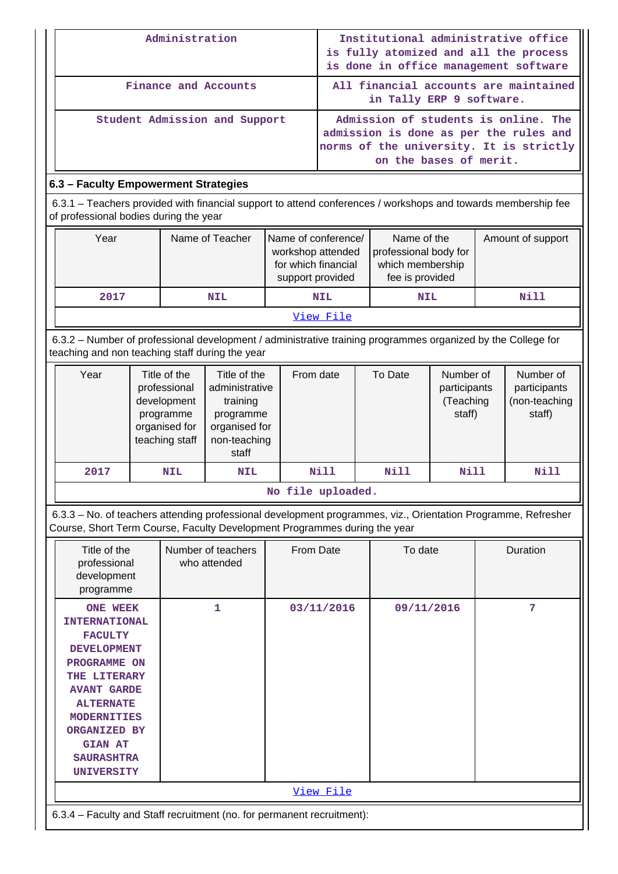|                                        | Administration                                                                                                                                                                                                                                                   |  |                                                                                                                                                                                                  |                                                                           | Institutional administrative office<br>is fully atomized and all the process<br>is done in office management software |                                                                   |            |                                                                                                              |   |                                                                                                                           |
|----------------------------------------|------------------------------------------------------------------------------------------------------------------------------------------------------------------------------------------------------------------------------------------------------------------|--|--------------------------------------------------------------------------------------------------------------------------------------------------------------------------------------------------|---------------------------------------------------------------------------|-----------------------------------------------------------------------------------------------------------------------|-------------------------------------------------------------------|------------|--------------------------------------------------------------------------------------------------------------|---|---------------------------------------------------------------------------------------------------------------------------|
|                                        |                                                                                                                                                                                                                                                                  |  |                                                                                                                                                                                                  | Finance and Accounts                                                      |                                                                                                                       | All financial accounts are maintained<br>in Tally ERP 9 software. |            |                                                                                                              |   |                                                                                                                           |
|                                        | Student Admission and Support                                                                                                                                                                                                                                    |  |                                                                                                                                                                                                  |                                                                           |                                                                                                                       |                                                                   |            | on the bases of merit.                                                                                       |   | Admission of students is online. The<br>admission is done as per the rules and<br>norms of the university. It is strictly |
| 6.3 - Faculty Empowerment Strategies   |                                                                                                                                                                                                                                                                  |  |                                                                                                                                                                                                  |                                                                           |                                                                                                                       |                                                                   |            |                                                                                                              |   |                                                                                                                           |
| of professional bodies during the year |                                                                                                                                                                                                                                                                  |  |                                                                                                                                                                                                  |                                                                           |                                                                                                                       |                                                                   |            |                                                                                                              |   | 6.3.1 – Teachers provided with financial support to attend conferences / workshops and towards membership fee             |
|                                        | Year                                                                                                                                                                                                                                                             |  |                                                                                                                                                                                                  | Name of Teacher                                                           | Name of conference/<br>workshop attended<br>for which financial                                                       | support provided                                                  |            | Name of the<br>professional body for<br>which membership<br>fee is provided                                  |   | Amount of support                                                                                                         |
|                                        | 2017                                                                                                                                                                                                                                                             |  |                                                                                                                                                                                                  | <b>NIL</b>                                                                |                                                                                                                       | <b>NIL</b>                                                        |            | <b>NIL</b>                                                                                                   |   | <b>Nill</b>                                                                                                               |
|                                        |                                                                                                                                                                                                                                                                  |  |                                                                                                                                                                                                  |                                                                           |                                                                                                                       | View File                                                         |            |                                                                                                              |   |                                                                                                                           |
|                                        |                                                                                                                                                                                                                                                                  |  |                                                                                                                                                                                                  | teaching and non teaching staff during the year                           |                                                                                                                       |                                                                   |            | 6.3.2 - Number of professional development / administrative training programmes organized by the College for |   |                                                                                                                           |
| Year                                   |                                                                                                                                                                                                                                                                  |  | Title of the<br>Title of the<br>professional<br>administrative<br>development<br>training<br>programme<br>programme<br>organised for<br>organised for<br>teaching staff<br>non-teaching<br>staff |                                                                           |                                                                                                                       | From date                                                         |            | To Date<br>Number of<br>participants<br>(Teaching<br>staff)                                                  |   | Number of<br>participants<br>(non-teaching<br>staff)                                                                      |
|                                        | 2017                                                                                                                                                                                                                                                             |  | <b>NIL</b>                                                                                                                                                                                       | <b>NIL</b>                                                                |                                                                                                                       | <b>Nill</b>                                                       |            | <b>Nill</b><br>Nill                                                                                          |   | Nill                                                                                                                      |
|                                        |                                                                                                                                                                                                                                                                  |  |                                                                                                                                                                                                  |                                                                           | No file uploaded                                                                                                      |                                                                   |            |                                                                                                              |   |                                                                                                                           |
|                                        |                                                                                                                                                                                                                                                                  |  |                                                                                                                                                                                                  | Course, Short Term Course, Faculty Development Programmes during the year |                                                                                                                       |                                                                   |            |                                                                                                              |   | 6.3.3 - No. of teachers attending professional development programmes, viz., Orientation Programme, Refresher             |
|                                        | Title of the<br>professional<br>development<br>programme                                                                                                                                                                                                         |  |                                                                                                                                                                                                  | Number of teachers<br>who attended                                        |                                                                                                                       | From Date                                                         |            | To date                                                                                                      |   | <b>Duration</b>                                                                                                           |
|                                        | <b>ONE WEEK</b><br>1<br><b>INTERNATIONAL</b><br><b>FACULTY</b><br><b>DEVELOPMENT</b><br>PROGRAMME ON<br>THE LITERARY<br><b>AVANT GARDE</b><br><b>ALTERNATE</b><br><b>MODERNITIES</b><br>ORGANIZED BY<br><b>GIAN AT</b><br><b>SAURASHTRA</b><br><b>UNIVERSITY</b> |  |                                                                                                                                                                                                  |                                                                           | 03/11/2016                                                                                                            |                                                                   | 09/11/2016 |                                                                                                              | 7 |                                                                                                                           |
|                                        |                                                                                                                                                                                                                                                                  |  |                                                                                                                                                                                                  |                                                                           |                                                                                                                       | View File                                                         |            |                                                                                                              |   |                                                                                                                           |
|                                        |                                                                                                                                                                                                                                                                  |  |                                                                                                                                                                                                  | 6.3.4 - Faculty and Staff recruitment (no. for permanent recruitment):    |                                                                                                                       |                                                                   |            |                                                                                                              |   |                                                                                                                           |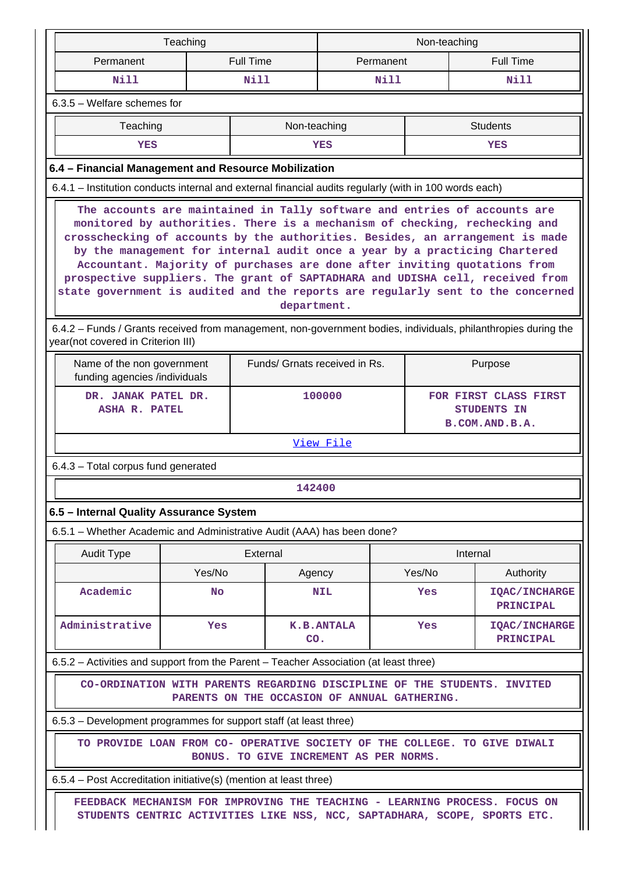| Teaching<br>Non-teaching                                                                                                                                                                                                                                                                                                                                                                                                                                                                                                                                                                                                                                                                                 |                                                                                                              |                  |                   |        |                                                        |  |  |  |
|----------------------------------------------------------------------------------------------------------------------------------------------------------------------------------------------------------------------------------------------------------------------------------------------------------------------------------------------------------------------------------------------------------------------------------------------------------------------------------------------------------------------------------------------------------------------------------------------------------------------------------------------------------------------------------------------------------|--------------------------------------------------------------------------------------------------------------|------------------|-------------------|--------|--------------------------------------------------------|--|--|--|
| Permanent                                                                                                                                                                                                                                                                                                                                                                                                                                                                                                                                                                                                                                                                                                |                                                                                                              | <b>Full Time</b> | Permanent         |        | <b>Full Time</b>                                       |  |  |  |
| <b>Nill</b>                                                                                                                                                                                                                                                                                                                                                                                                                                                                                                                                                                                                                                                                                              |                                                                                                              | <b>Nill</b>      | Nill              |        | <b>Nill</b>                                            |  |  |  |
| 6.3.5 - Welfare schemes for                                                                                                                                                                                                                                                                                                                                                                                                                                                                                                                                                                                                                                                                              |                                                                                                              |                  |                   |        |                                                        |  |  |  |
| Teaching                                                                                                                                                                                                                                                                                                                                                                                                                                                                                                                                                                                                                                                                                                 |                                                                                                              | Non-teaching     |                   |        | <b>Students</b>                                        |  |  |  |
| YES                                                                                                                                                                                                                                                                                                                                                                                                                                                                                                                                                                                                                                                                                                      |                                                                                                              |                  | YES               |        | YES                                                    |  |  |  |
| 6.4 - Financial Management and Resource Mobilization                                                                                                                                                                                                                                                                                                                                                                                                                                                                                                                                                                                                                                                     |                                                                                                              |                  |                   |        |                                                        |  |  |  |
| 6.4.1 - Institution conducts internal and external financial audits regularly (with in 100 words each)                                                                                                                                                                                                                                                                                                                                                                                                                                                                                                                                                                                                   |                                                                                                              |                  |                   |        |                                                        |  |  |  |
| The accounts are maintained in Tally software and entries of accounts are<br>monitored by authorities. There is a mechanism of checking, rechecking and<br>crosschecking of accounts by the authorities. Besides, an arrangement is made<br>by the management for internal audit once a year by a practicing Chartered<br>Accountant. Majority of purchases are done after inviting quotations from<br>prospective suppliers. The grant of SAPTADHARA and UDISHA cell, received from<br>state government is audited and the reports are regularly sent to the concerned<br>department.<br>6.4.2 - Funds / Grants received from management, non-government bodies, individuals, philanthropies during the |                                                                                                              |                  |                   |        |                                                        |  |  |  |
|                                                                                                                                                                                                                                                                                                                                                                                                                                                                                                                                                                                                                                                                                                          | year(not covered in Criterion III)<br>Funds/ Grnats received in Rs.<br>Purpose<br>Name of the non government |                  |                   |        |                                                        |  |  |  |
|                                                                                                                                                                                                                                                                                                                                                                                                                                                                                                                                                                                                                                                                                                          | funding agencies /individuals<br>DR. JANAK PATEL DR.<br>ASHA R. PATEL                                        |                  |                   |        | FOR FIRST CLASS FIRST<br>STUDENTS IN<br>B.COM.AND.B.A. |  |  |  |
|                                                                                                                                                                                                                                                                                                                                                                                                                                                                                                                                                                                                                                                                                                          |                                                                                                              |                  | View File         |        |                                                        |  |  |  |
| 6.4.3 - Total corpus fund generated                                                                                                                                                                                                                                                                                                                                                                                                                                                                                                                                                                                                                                                                      |                                                                                                              |                  |                   |        |                                                        |  |  |  |
|                                                                                                                                                                                                                                                                                                                                                                                                                                                                                                                                                                                                                                                                                                          |                                                                                                              | 142400           |                   |        |                                                        |  |  |  |
| 6.5 - Internal Quality Assurance System                                                                                                                                                                                                                                                                                                                                                                                                                                                                                                                                                                                                                                                                  |                                                                                                              |                  |                   |        |                                                        |  |  |  |
| 6.5.1 – Whether Academic and Administrative Audit (AAA) has been done?                                                                                                                                                                                                                                                                                                                                                                                                                                                                                                                                                                                                                                   |                                                                                                              |                  |                   |        |                                                        |  |  |  |
| <b>Audit Type</b>                                                                                                                                                                                                                                                                                                                                                                                                                                                                                                                                                                                                                                                                                        |                                                                                                              | External         |                   |        | Internal                                               |  |  |  |
|                                                                                                                                                                                                                                                                                                                                                                                                                                                                                                                                                                                                                                                                                                          | Yes/No                                                                                                       | Agency           |                   | Yes/No | Authority                                              |  |  |  |
| Academic                                                                                                                                                                                                                                                                                                                                                                                                                                                                                                                                                                                                                                                                                                 | <b>No</b>                                                                                                    |                  | <b>NIL</b>        | Yes    | <b>IQAC/INCHARGE</b><br>PRINCIPAL                      |  |  |  |
| Administrative                                                                                                                                                                                                                                                                                                                                                                                                                                                                                                                                                                                                                                                                                           | Yes                                                                                                          | CO.              | <b>K.B.ANTALA</b> | Yes    | <b>IQAC/INCHARGE</b><br>PRINCIPAL                      |  |  |  |
| 6.5.2 – Activities and support from the Parent – Teacher Association (at least three)                                                                                                                                                                                                                                                                                                                                                                                                                                                                                                                                                                                                                    |                                                                                                              |                  |                   |        |                                                        |  |  |  |
| CO-ORDINATION WITH PARENTS REGARDING DISCIPLINE OF THE STUDENTS. INVITED<br>PARENTS ON THE OCCASION OF ANNUAL GATHERING.                                                                                                                                                                                                                                                                                                                                                                                                                                                                                                                                                                                 |                                                                                                              |                  |                   |        |                                                        |  |  |  |
| 6.5.3 – Development programmes for support staff (at least three)                                                                                                                                                                                                                                                                                                                                                                                                                                                                                                                                                                                                                                        |                                                                                                              |                  |                   |        |                                                        |  |  |  |
| TO PROVIDE LOAN FROM CO- OPERATIVE SOCIETY OF THE COLLEGE. TO GIVE DIWALI<br>BONUS. TO GIVE INCREMENT AS PER NORMS.                                                                                                                                                                                                                                                                                                                                                                                                                                                                                                                                                                                      |                                                                                                              |                  |                   |        |                                                        |  |  |  |
| 6.5.4 – Post Accreditation initiative(s) (mention at least three)                                                                                                                                                                                                                                                                                                                                                                                                                                                                                                                                                                                                                                        |                                                                                                              |                  |                   |        |                                                        |  |  |  |
| FEEDBACK MECHANISM FOR IMPROVING THE TEACHING - LEARNING PROCESS. FOCUS ON<br>STUDENTS CENTRIC ACTIVITIES LIKE NSS, NCC, SAPTADHARA, SCOPE, SPORTS ETC.                                                                                                                                                                                                                                                                                                                                                                                                                                                                                                                                                  |                                                                                                              |                  |                   |        |                                                        |  |  |  |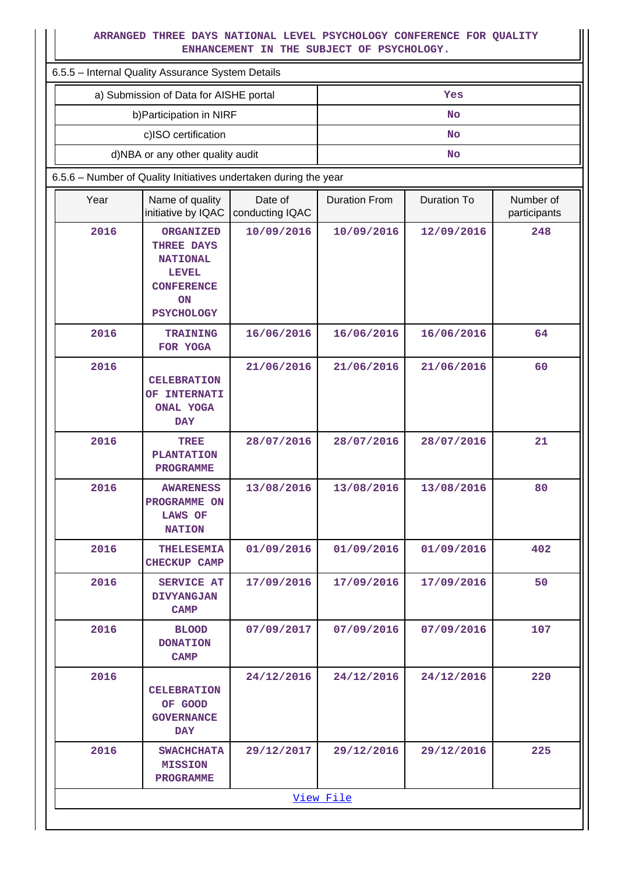## **ARRANGED THREE DAYS NATIONAL LEVEL PSYCHOLOGY CONFERENCE FOR QUALITY ENHANCEMENT IN THE SUBJECT OF PSYCHOLOGY.**

 $\blacksquare$ 

| ARRANGED THREE DAYS NATIONAL LEVEL PSYCHOLOGY CONFERENCE FOR QUALITY<br>ENHANCEMENT IN THE SUBJECT OF PSYCHOLOGY. |                                                                                                                   |                            |                      |                    |                           |  |  |  |  |
|-------------------------------------------------------------------------------------------------------------------|-------------------------------------------------------------------------------------------------------------------|----------------------------|----------------------|--------------------|---------------------------|--|--|--|--|
|                                                                                                                   | 6.5.5 - Internal Quality Assurance System Details                                                                 |                            |                      |                    |                           |  |  |  |  |
|                                                                                                                   | a) Submission of Data for AISHE portal                                                                            |                            |                      | Yes                |                           |  |  |  |  |
|                                                                                                                   | b) Participation in NIRF                                                                                          |                            |                      | <b>No</b>          |                           |  |  |  |  |
|                                                                                                                   | c)ISO certification                                                                                               |                            |                      | <b>No</b>          |                           |  |  |  |  |
|                                                                                                                   | d)NBA or any other quality audit                                                                                  |                            |                      | No                 |                           |  |  |  |  |
|                                                                                                                   | 6.5.6 - Number of Quality Initiatives undertaken during the year                                                  |                            |                      |                    |                           |  |  |  |  |
| Year                                                                                                              | Name of quality<br>initiative by IQAC                                                                             | Date of<br>conducting IQAC | <b>Duration From</b> | <b>Duration To</b> | Number of<br>participants |  |  |  |  |
| 2016                                                                                                              | <b>ORGANIZED</b><br>THREE DAYS<br><b>NATIONAL</b><br><b>LEVEL</b><br><b>CONFERENCE</b><br>ON<br><b>PSYCHOLOGY</b> | 10/09/2016                 | 10/09/2016           | 12/09/2016         | 248                       |  |  |  |  |
| 2016                                                                                                              | <b>TRAINING</b><br>FOR YOGA                                                                                       | 16/06/2016                 | 16/06/2016           | 16/06/2016         | 64                        |  |  |  |  |
| 2016                                                                                                              | <b>CELEBRATION</b><br>OF INTERNATI<br><b>ONAL YOGA</b><br><b>DAY</b>                                              | 21/06/2016                 | 21/06/2016           | 21/06/2016         | 60                        |  |  |  |  |
| 2016                                                                                                              | TREE<br><b>PLANTATION</b><br><b>PROGRAMME</b>                                                                     | 28/07/2016                 | 28/07/2016           | 28/07/2016         | 21                        |  |  |  |  |
| 2016                                                                                                              | <b>AWARENESS</b><br>PROGRAMME ON<br><b>LAWS OF</b><br><b>NATION</b>                                               | 13/08/2016                 | 13/08/2016           | 13/08/2016         | 80                        |  |  |  |  |
| 2016                                                                                                              | <b>THELESEMIA</b><br><b>CHECKUP CAMP</b>                                                                          | 01/09/2016                 | 01/09/2016           | 01/09/2016         | 402                       |  |  |  |  |
| 2016                                                                                                              | <b>SERVICE AT</b><br><b>DIVYANGJAN</b><br><b>CAMP</b>                                                             | 17/09/2016                 | 17/09/2016           | 17/09/2016         | 50                        |  |  |  |  |
| 2016                                                                                                              | <b>BLOOD</b><br><b>DONATION</b><br><b>CAMP</b>                                                                    | 07/09/2017                 | 07/09/2016           | 07/09/2016         | 107                       |  |  |  |  |
| 2016                                                                                                              | <b>CELEBRATION</b><br>OF GOOD<br><b>GOVERNANCE</b><br>DAY                                                         | 24/12/2016                 | 24/12/2016           | 24/12/2016         | 220                       |  |  |  |  |
| 2016                                                                                                              | <b>SWACHCHATA</b><br><b>MISSION</b><br><b>PROGRAMME</b>                                                           | 29/12/2017                 | 29/12/2016           | 29/12/2016         | 225                       |  |  |  |  |
|                                                                                                                   |                                                                                                                   |                            | View File            |                    |                           |  |  |  |  |
|                                                                                                                   |                                                                                                                   |                            |                      |                    |                           |  |  |  |  |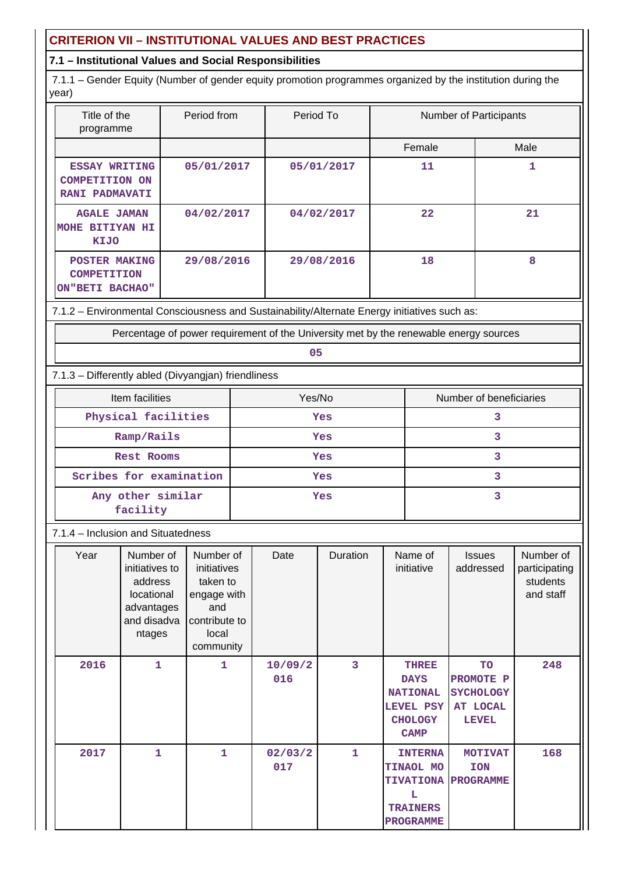## **CRITERION VII – INSTITUTIONAL VALUES AND BEST PRACTICES**

## **7.1 – Institutional Values and Social Responsibilities**

 7.1.1 – Gender Equity (Number of gender equity promotion programmes organized by the institution during the year)

| Title of the<br>programme                                              | Period from | Period To  | <b>Number of Participants</b> |      |
|------------------------------------------------------------------------|-------------|------------|-------------------------------|------|
|                                                                        |             |            | Female                        | Male |
| <b>ESSAY WRITING</b><br><b>COMPETITION ON</b><br><b>RANI PADMAVATI</b> | 05/01/2017  | 05/01/2017 | 11                            |      |
| <b>AGALE JAMAN</b><br><b>BITIYAN HI</b><br>MOHE<br>KIJO                | 04/02/2017  | 04/02/2017 | 22                            | 21   |
| POSTER MAKING<br><b>COMPETITION</b><br>ON"BETI BACHAO"                 | 29/08/2016  | 29/08/2016 | 18                            | 8    |

7.1.2 – Environmental Consciousness and Sustainability/Alternate Energy initiatives such as:

Percentage of power requirement of the University met by the renewable energy sources

**05**

7.1.3 – Differently abled (Divyangjan) friendliness

| Item facilities               | Yes/No | Number of beneficiaries |
|-------------------------------|--------|-------------------------|
| Physical facilities           | Yes    |                         |
| Ramp/Rails                    | Yes    |                         |
| Rest Rooms                    | Yes    |                         |
| Scribes for examination       | Yes    |                         |
| Any other similar<br>facility | Yes    |                         |

## 7.1.4 – Inclusion and Situatedness

| Year | Number of<br>initiatives to<br>address<br>locational<br>advantages<br>and disadva<br>ntages | Number of<br>initiatives<br>taken to<br>engage with<br>and<br>contribute to<br>local<br>community | Date           | Duration     | Name of<br>initiative                                                                        | <b>Issues</b><br>addressed                                             | Number of<br>participating<br>students<br>and staff |
|------|---------------------------------------------------------------------------------------------|---------------------------------------------------------------------------------------------------|----------------|--------------|----------------------------------------------------------------------------------------------|------------------------------------------------------------------------|-----------------------------------------------------|
| 2016 | 1                                                                                           | 1                                                                                                 | 10/09/2<br>016 | 3            | <b>THREE</b><br><b>DAYS</b><br><b>NATIONAL</b><br>LEVEL PSY<br><b>CHOLOGY</b><br><b>CAMP</b> | TO<br>PROMOTE P<br><b>SYCHOLOGY</b><br><b>AT LOCAL</b><br><b>LEVEL</b> | 248                                                 |
| 2017 | 1                                                                                           | 1                                                                                                 | 02/03/2<br>017 | $\mathbf{1}$ | <b>INTERNA</b><br>TINAOL MO<br><b>TIVATIONA</b><br>L<br><b>TRAINERS</b><br>PROGRAMME         | <b>MOTIVAT</b><br><b>ION</b><br><b>PROGRAMME</b>                       | 168                                                 |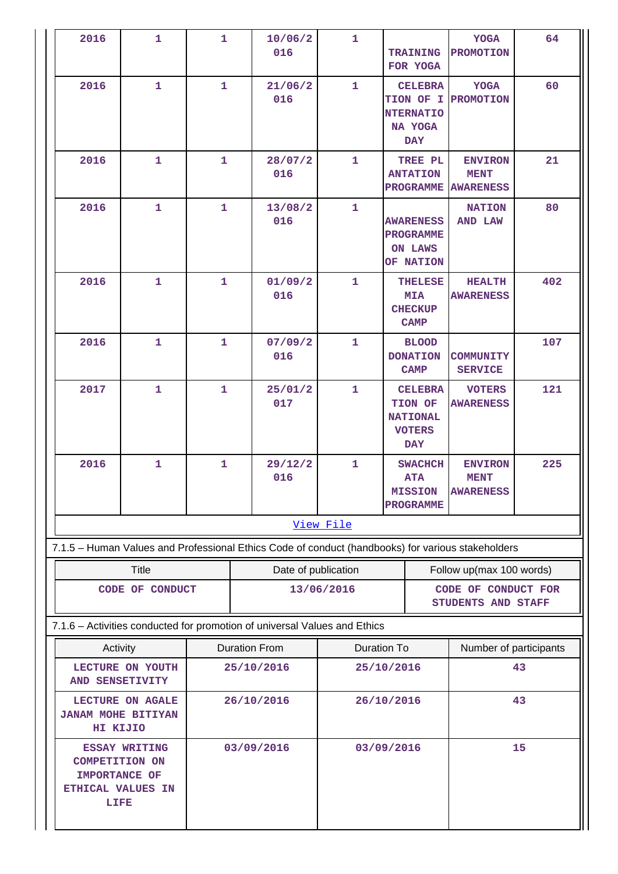| 2016                                                                                        | $\mathbf{1}$    | $\mathbf{1}$ | 10/06/2<br>016                                                                                    | $\mathbf{1}$ | <b>TRAINING</b><br>FOR YOGA                                                 | <b>YOGA</b><br><b>PROMOTION</b>                   | 64  |  |
|---------------------------------------------------------------------------------------------|-----------------|--------------|---------------------------------------------------------------------------------------------------|--------------|-----------------------------------------------------------------------------|---------------------------------------------------|-----|--|
| 2016                                                                                        | $\mathbf{1}$    | $\mathbf{1}$ | 21/06/2<br>016                                                                                    | $\mathbf{1}$ | <b>CELEBRA</b><br>TION OF I<br><b>NTERNATIO</b><br>NA YOGA<br><b>DAY</b>    | <b>YOGA</b><br><b>PROMOTION</b>                   | 60  |  |
| 2016                                                                                        | $\mathbf{1}$    | $\mathbf{1}$ | 28/07/2<br>016                                                                                    | $\mathbf{1}$ | TREE PL<br><b>ANTATION</b><br><b>PROGRAMME</b>                              | <b>ENVIRON</b><br><b>MENT</b><br><b>AWARENESS</b> | 21  |  |
| 2016                                                                                        | $\mathbf{1}$    | $\mathbf{1}$ | 13/08/2<br>016                                                                                    | $\mathbf{1}$ | <b>AWARENESS</b><br><b>PROGRAMME</b><br><b>ON LAWS</b><br>OF NATION         | <b>NATION</b><br><b>AND LAW</b>                   | 80  |  |
| 2016                                                                                        | $\mathbf{1}$    | $\mathbf{1}$ | 01/09/2<br>016                                                                                    | $\mathbf{1}$ | <b>THELESE</b><br><b>MIA</b><br><b>CHECKUP</b><br><b>CAMP</b>               | <b>HEALTH</b><br><b>AWARENESS</b>                 | 402 |  |
| 2016                                                                                        | 1               | 1            | 07/09/2<br>016                                                                                    | $\mathbf{1}$ | <b>BLOOD</b><br><b>DONATION</b><br><b>CAMP</b>                              | <b>COMMUNITY</b><br><b>SERVICE</b>                | 107 |  |
| 2017                                                                                        | $\mathbf{1}$    | 1            | 25/01/2<br>017                                                                                    | $\mathbf{1}$ | <b>CELEBRA</b><br>TION OF<br><b>NATIONAL</b><br><b>VOTERS</b><br><b>DAY</b> | <b>VOTERS</b><br><b>AWARENESS</b>                 | 121 |  |
| 2016                                                                                        | $\mathbf{1}$    | $\mathbf{1}$ | 29/12/2<br>016                                                                                    | $\mathbf{1}$ | <b>SWACHCH</b><br><b>ATA</b><br><b>MISSION</b><br><b>PROGRAMME</b>          | <b>ENVIRON</b><br><b>MENT</b><br><b>AWARENESS</b> | 225 |  |
|                                                                                             |                 |              |                                                                                                   | View File    |                                                                             |                                                   |     |  |
|                                                                                             |                 |              | 7.1.5 - Human Values and Professional Ethics Code of conduct (handbooks) for various stakeholders |              |                                                                             |                                                   |     |  |
|                                                                                             | <b>Title</b>    |              | Date of publication                                                                               |              |                                                                             | Follow up(max 100 words)                          |     |  |
|                                                                                             | CODE OF CONDUCT |              |                                                                                                   | 13/06/2016   |                                                                             | CODE OF CONDUCT FOR<br>STUDENTS AND STAFF         |     |  |
|                                                                                             |                 |              | 7.1.6 - Activities conducted for promotion of universal Values and Ethics                         |              |                                                                             |                                                   |     |  |
|                                                                                             | Activity        |              | <b>Duration To</b><br><b>Duration From</b>                                                        |              | Number of participants                                                      |                                                   |     |  |
| LECTURE ON YOUTH<br>AND SENSETIVITY                                                         |                 |              | 25/10/2016<br>25/10/2016                                                                          |              | 43                                                                          |                                                   |     |  |
| LECTURE ON AGALE<br><b>JANAM MOHE BITIYAN</b><br>HI KIJIO                                   |                 |              | 26/10/2016                                                                                        |              | 26/10/2016                                                                  | 43                                                |     |  |
| <b>ESSAY WRITING</b><br><b>COMPETITION ON</b><br>IMPORTANCE OF<br>ETHICAL VALUES IN<br>LIFE |                 |              | 03/09/2016                                                                                        |              | 03/09/2016                                                                  |                                                   | 15  |  |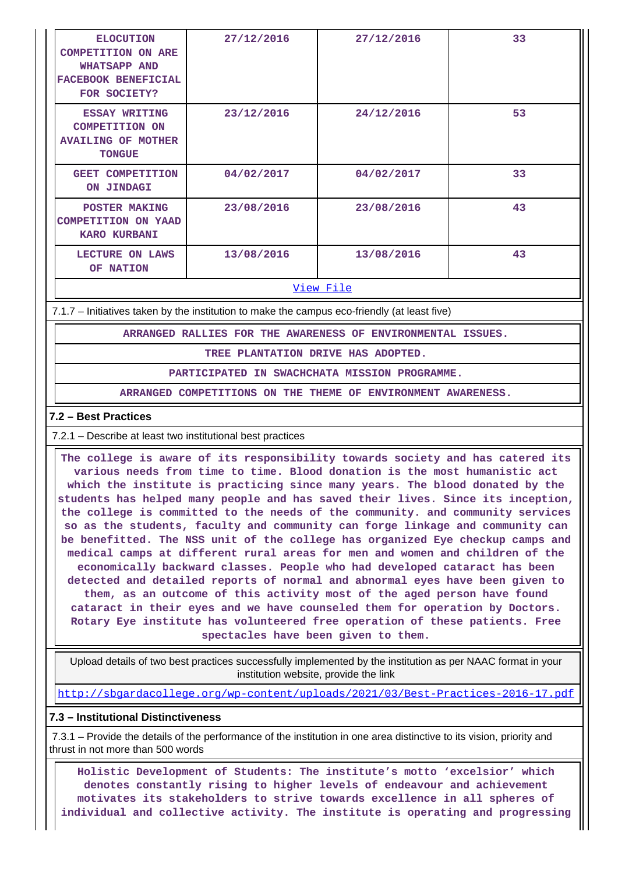| <b>ELOCUTION</b><br><b>COMPETITION ON ARE</b><br><b>WHATSAPP AND</b><br><b>FACEBOOK BENEFICIAL</b><br>FOR SOCIETY? | 27/12/2016 | 27/12/2016 | 33 |
|--------------------------------------------------------------------------------------------------------------------|------------|------------|----|
| <b>ESSAY WRITING</b><br><b>COMPETITION ON</b><br><b>AVAILING OF MOTHER</b><br><b>TONGUE</b>                        | 23/12/2016 | 24/12/2016 | 53 |
| <b>GEET COMPETITION</b><br>ON JINDAGI                                                                              | 04/02/2017 | 04/02/2017 | 33 |
| POSTER MAKING<br><b>COMPETITION ON YAAD</b><br><b>KARO KURBANI</b>                                                 | 23/08/2016 | 23/08/2016 | 43 |
| <b>LECTURE</b><br>ON LAWS<br><b>NATION</b><br>OF.                                                                  | 13/08/2016 | 13/08/2016 | 43 |

#### [View File](https://assessmentonline.naac.gov.in/public/Postacc/promotion_activities/10126_promotion_activities_1617608881.xlsx)

7.1.7 – Initiatives taken by the institution to make the campus eco-friendly (at least five)

**ARRANGED RALLIES FOR THE AWARENESS OF ENVIRONMENTAL ISSUES.**

**TREE PLANTATION DRIVE HAS ADOPTED.**

**PARTICIPATED IN SWACHCHATA MISSION PROGRAMME.**

**ARRANGED COMPETITIONS ON THE THEME OF ENVIRONMENT AWARENESS.**

#### **7.2 – Best Practices**

7.2.1 – Describe at least two institutional best practices

 **The college is aware of its responsibility towards society and has catered its various needs from time to time. Blood donation is the most humanistic act which the institute is practicing since many years. The blood donated by the students has helped many people and has saved their lives. Since its inception, the college is committed to the needs of the community. and community services so as the students, faculty and community can forge linkage and community can be benefitted. The NSS unit of the college has organized Eye checkup camps and medical camps at different rural areas for men and women and children of the economically backward classes. People who had developed cataract has been detected and detailed reports of normal and abnormal eyes have been given to them, as an outcome of this activity most of the aged person have found cataract in their eyes and we have counseled them for operation by Doctors. Rotary Eye institute has volunteered free operation of these patients. Free spectacles have been given to them.**

 Upload details of two best practices successfully implemented by the institution as per NAAC format in your institution website, provide the link

<http://sbgardacollege.org/wp-content/uploads/2021/03/Best-Practices-2016-17.pdf>

#### **7.3 – Institutional Distinctiveness**

 7.3.1 – Provide the details of the performance of the institution in one area distinctive to its vision, priority and thrust in not more than 500 words

 **Holistic Development of Students: The institute's motto 'excelsior' which denotes constantly rising to higher levels of endeavour and achievement motivates its stakeholders to strive towards excellence in all spheres of individual and collective activity. The institute is operating and progressing**